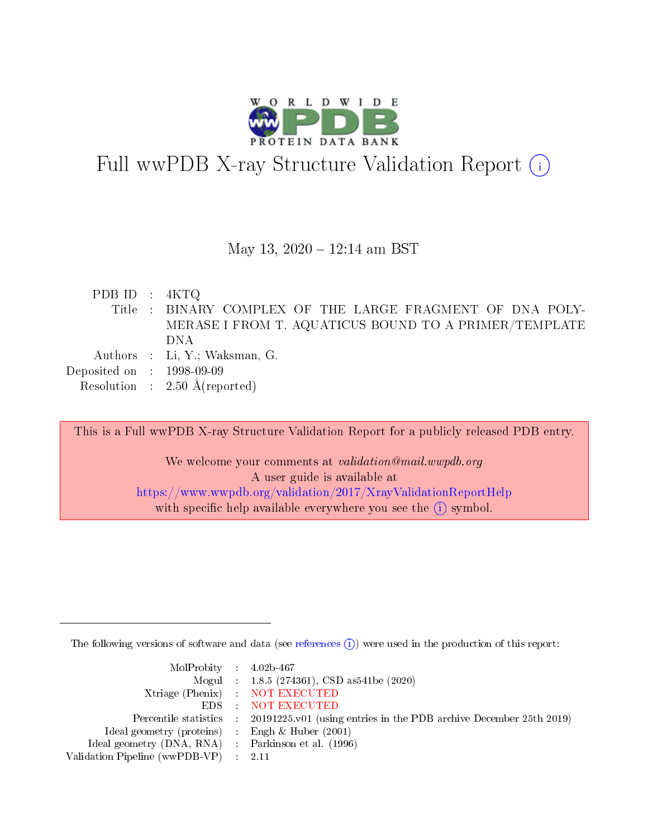

# Full wwPDB X-ray Structure Validation Report  $(i)$

## May 13,  $2020 - 12:14$  am BST

PDB ID : 4KTQ Title : BINARY COMPLEX OF THE LARGE FRAGMENT OF DNA POLY-MERASE I FROM T. AQUATICUS BOUND TO A PRIMER/TEMPLATE DNA Authors : Li, Y.; Waksman, G. Deposited on : 1998-09-09 Resolution : 2.50 Å(reported)

This is a Full wwPDB X-ray Structure Validation Report for a publicly released PDB entry. We welcome your comments at validation@mail.wwpdb.org A user guide is available at <https://www.wwpdb.org/validation/2017/XrayValidationReportHelp>

with specific help available everywhere you see the  $(i)$  symbol.

The following versions of software and data (see [references](https://www.wwpdb.org/validation/2017/XrayValidationReportHelp#references)  $(i)$ ) were used in the production of this report:

| $MolProbability$ 4.02b-467                          |                                                                                            |
|-----------------------------------------------------|--------------------------------------------------------------------------------------------|
|                                                     | Mogul : $1.8.5$ (274361), CSD as 541be (2020)                                              |
|                                                     | Xtriage (Phenix) NOT EXECUTED                                                              |
|                                                     | EDS : NOT EXECUTED                                                                         |
|                                                     | Percentile statistics : 20191225.v01 (using entries in the PDB archive December 25th 2019) |
| Ideal geometry (proteins) : Engh $\&$ Huber (2001)  |                                                                                            |
| Ideal geometry (DNA, RNA) : Parkinson et al. (1996) |                                                                                            |
| Validation Pipeline (wwPDB-VP) : 2.11               |                                                                                            |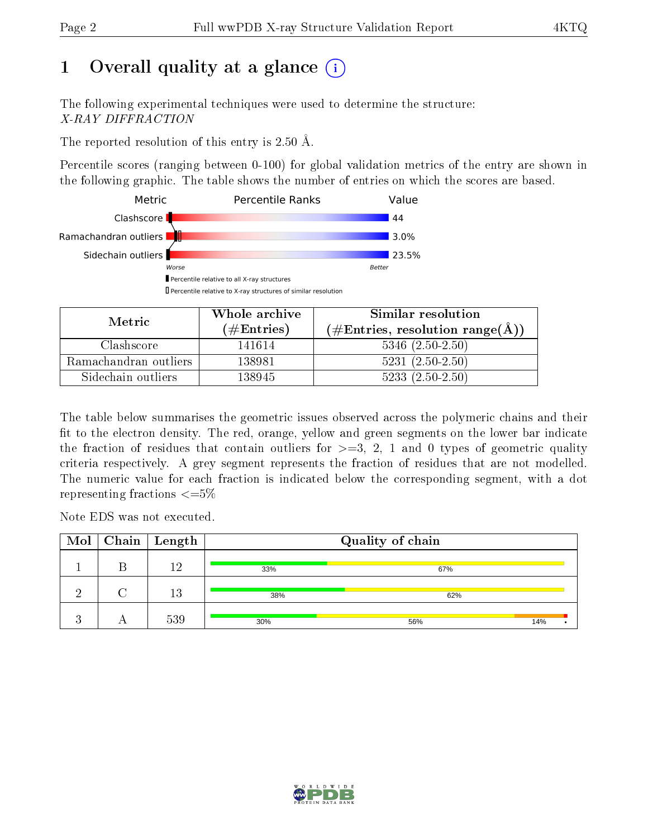# 1 [O](https://www.wwpdb.org/validation/2017/XrayValidationReportHelp#overall_quality)verall quality at a glance  $(i)$

The following experimental techniques were used to determine the structure: X-RAY DIFFRACTION

The reported resolution of this entry is 2.50 Å.

Percentile scores (ranging between 0-100) for global validation metrics of the entry are shown in the following graphic. The table shows the number of entries on which the scores are based.



| Metric                | Whole archive        | Similar resolution                                           |
|-----------------------|----------------------|--------------------------------------------------------------|
|                       | $(\#\text{Entries})$ | $(\#\text{Entries}, \text{resolution range}(\textup{\AA})\)$ |
| Clashscore            | 141614               | $5346$ $(2.50-2.50)$                                         |
| Ramachandran outliers | 138981               | $5231 (2.50 - 2.50)$                                         |
| Sidechain outliers    | 138945               | $5233(2.50-2.50)$                                            |

The table below summarises the geometric issues observed across the polymeric chains and their fit to the electron density. The red, orange, yellow and green segments on the lower bar indicate the fraction of residues that contain outliers for  $\geq=3$ , 2, 1 and 0 types of geometric quality criteria respectively. A grey segment represents the fraction of residues that are not modelled. The numeric value for each fraction is indicated below the corresponding segment, with a dot representing fractions  $\epsilon = 5\%$ 

Note EDS was not executed.

|  | $\overline{\text{Mol}}$   Chain   Length |     | Quality of chain |     |
|--|------------------------------------------|-----|------------------|-----|
|  | 19                                       | 33% | 67%              |     |
|  | $13\,$                                   | 38% | 62%              |     |
|  | 539                                      | 30% | 56%              | 14% |

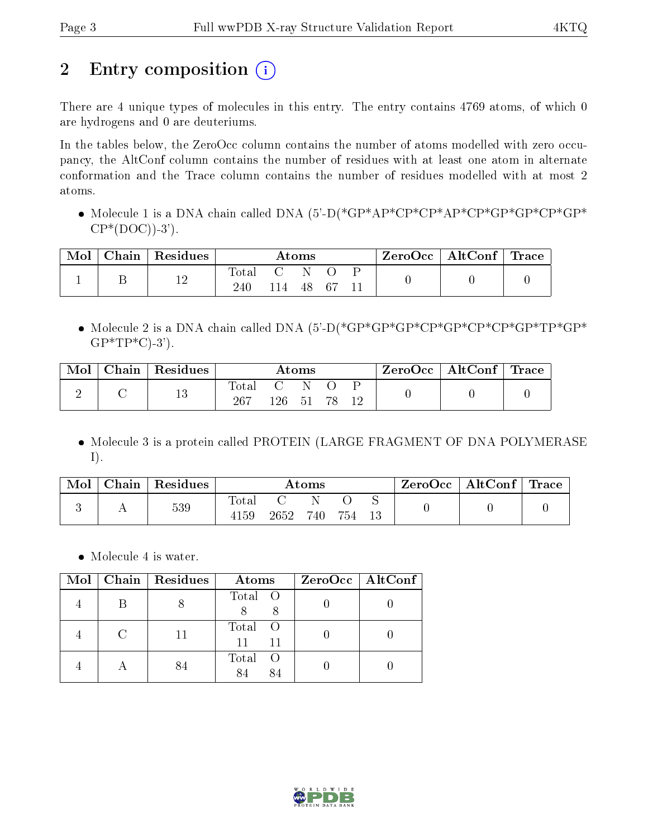# 2 Entry composition (i)

There are 4 unique types of molecules in this entry. The entry contains 4769 atoms, of which 0 are hydrogens and 0 are deuteriums.

In the tables below, the ZeroOcc column contains the number of atoms modelled with zero occupancy, the AltConf column contains the number of residues with at least one atom in alternate conformation and the Trace column contains the number of residues modelled with at most 2 atoms.

 Molecule 1 is a DNA chain called DNA (5'-D(\*GP\*AP\*CP\*CP\*AP\*CP\*GP\*GP\*CP\*GP\*  $CP*(DOC)$ -3').

| Mol | Chain | $\perp$ Residues | Atoms              |      |    | ZeroOcc | $\vert$ AltConf $\vert$ Trace |  |  |  |
|-----|-------|------------------|--------------------|------|----|---------|-------------------------------|--|--|--|
|     |       | 12               | $\rm Total$<br>240 | l 14 | 48 | - 67    |                               |  |  |  |

 Molecule 2 is a DNA chain called DNA (5'-D(\*GP\*GP\*GP\*CP\*GP\*CP\*CP\*GP\*TP\*GP\*  $GP*TP*C$ -3').

| Mol | ⊤ Chain ' | $\perp$ Residues | $\rm{Atoms}$ |     |       | ZeroOcc   AltConf   Trace |  |  |  |
|-----|-----------|------------------|--------------|-----|-------|---------------------------|--|--|--|
|     |           | 19<br>TΟ         | Total<br>267 | 126 | $-51$ |                           |  |  |  |

• Molecule 3 is a protein called PROTEIN (LARGE FRAGMENT OF DNA POLYMERASE I).

| Mol | Chain | Residues | $\bm{\mathrm{Atoms}}$  |      |     | ZeroOcc | AltConf | $\perp$ Trace |  |  |
|-----|-------|----------|------------------------|------|-----|---------|---------|---------------|--|--|
|     |       | 539      | $_{\rm Total}$<br>4159 | 2652 | 740 | 754     |         |               |  |  |

• Molecule 4 is water.

| Mol | $\vert$ Chain $\vert$ Residues | Atoms               | ZeroOcc   AltConf |
|-----|--------------------------------|---------------------|-------------------|
|     |                                | Total O             |                   |
|     | 11                             | Total O<br>11<br>11 |                   |
|     |                                | Total<br>- ()       |                   |

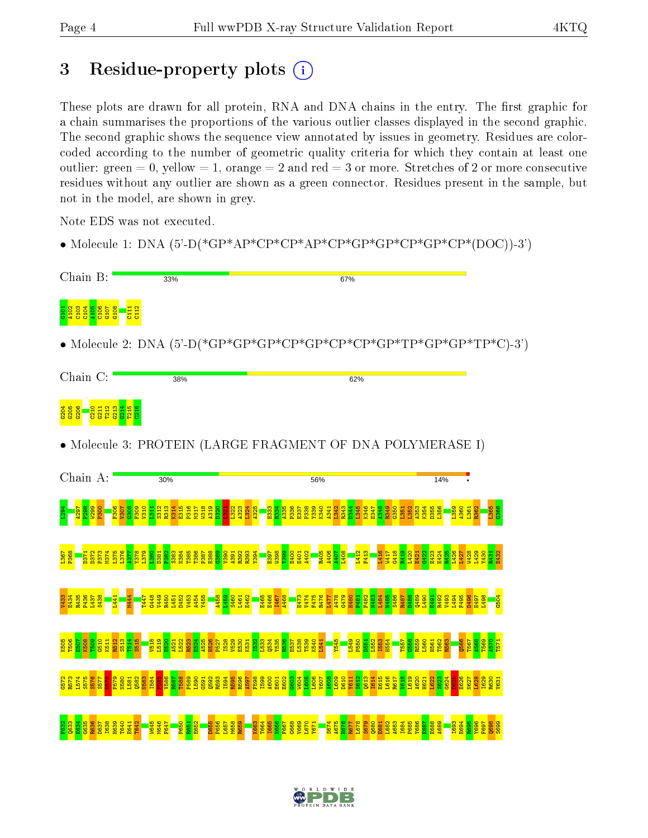# 3 Residue-property plots (i)

These plots are drawn for all protein, RNA and DNA chains in the entry. The first graphic for a chain summarises the proportions of the various outlier classes displayed in the second graphic. The second graphic shows the sequence view annotated by issues in geometry. Residues are colorcoded according to the number of geometric quality criteria for which they contain at least one outlier: green  $= 0$ , yellow  $= 1$ , orange  $= 2$  and red  $= 3$  or more. Stretches of 2 or more consecutive residues without any outlier are shown as a green connector. Residues present in the sample, but not in the model, are shown in grey.

Note EDS was not executed.

• Molecule 1: DNA  $(5^{\circ}$ -D(\*GP\*AP\*CP\*CP\*AP\*CP\*GP\*GP\*CP\*GP\*CP\*(DOC))-3')

| Chain B:                                                                                   | 33%                                                 |                                                                                                   |                                                                       | 67%                                                                      |  |
|--------------------------------------------------------------------------------------------|-----------------------------------------------------|---------------------------------------------------------------------------------------------------|-----------------------------------------------------------------------|--------------------------------------------------------------------------|--|
| gg <mark>ggggg</mark>                                                                      |                                                     |                                                                                                   |                                                                       |                                                                          |  |
|                                                                                            |                                                     |                                                                                                   |                                                                       | • Molecule 2: DNA $(5'-D(*GP*GP*GP*CP*CP*CP*CP*CP*TP*GP*TP*GP*TP*C)-3')$ |  |
| Chain C:                                                                                   | 38%                                                 |                                                                                                   |                                                                       | 62%                                                                      |  |
| ន្ទីន្ទ <mark>ី ខ្លី</mark> ដូដូដូ <mark>ដូដូ</mark><br>ន្ទីន្ទី <mark>ខ្លីដូដូដូដូ</mark> |                                                     |                                                                                                   |                                                                       |                                                                          |  |
|                                                                                            |                                                     |                                                                                                   |                                                                       | • Molecule 3: PROTEIN (LARGE FRAGMENT OF DNA POLYMERASE I)               |  |
| Chain A:                                                                                   | 30%                                                 |                                                                                                   | 56%                                                                   | 14%                                                                      |  |
|                                                                                            |                                                     |                                                                                                   |                                                                       |                                                                          |  |
|                                                                                            |                                                     |                                                                                                   |                                                                       | <u>asan asal</u><br>1989<br>1989                                         |  |
|                                                                                            | <b>Rando</b><br>Rando<br>Rando Rando<br>Rando Rando | <mark>- 종종 중 중 중 중</mark><br><mark>- 종종 중 중 중 중</mark>                                            | <b>内容の</b><br>日本の<br>日本の<br>1478<br>8474<br><mark>1478</mark><br>1477 | s<br>88838865889678333886<br>8883865889678333886<br>3479<br>3742         |  |
|                                                                                            |                                                     | និ <mark>ង និង និង និង និង និង</mark><br>ស្តី និង និង និង និង និង និង<br>ស្តី និង និង និង និង និង |                                                                       |                                                                          |  |
|                                                                                            |                                                     |                                                                                                   |                                                                       |                                                                          |  |
|                                                                                            |                                                     |                                                                                                   |                                                                       |                                                                          |  |

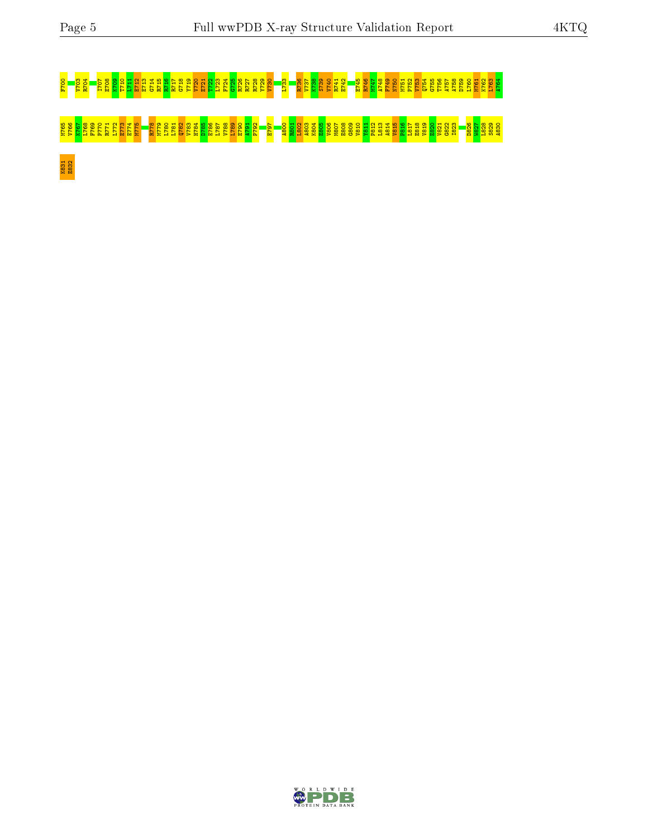# F700 V703 R704 I707 E708 K709 T710 L711 E712 E713 G714 R715 R716 R717 G718 Y719 V720 E721 T722 L723 F724 G725 R726 R727 R728 Y729 V730 L733 R736 V737 K738 S739 V740 R741 E742 E745 R746 M747 A748 F749 N750 M751 P752 V753 Q754 G755 T756 A757 A758 D759 L760 M761 K762 L763 A764 <u>ីខ្លួន ដែលប្រទេសន</u>្នី និង ប្រទេសន្នី ប្រទេសន្តិ និង ប្រទេសន្តិ និង ប្រទេសន្នី ប្រទេសន្នី ប្រទេសន្នី ប្រទេសន្នី K831 E832

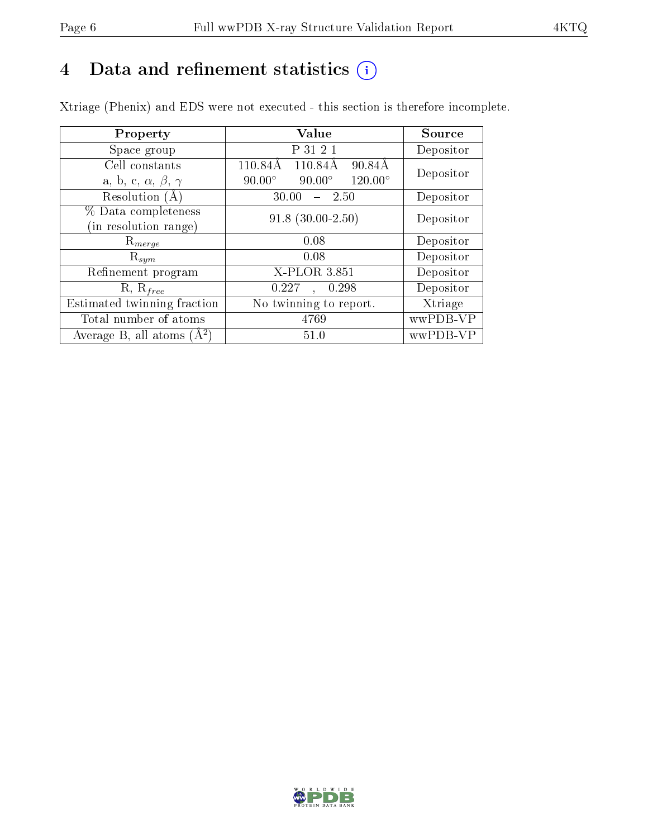# 4 Data and refinement statistics  $(i)$

Xtriage (Phenix) and EDS were not executed - this section is therefore incomplete.

| Property                               | <b>Value</b>                                     | Source    |
|----------------------------------------|--------------------------------------------------|-----------|
| Space group                            | P 31 2 1                                         | Depositor |
| Cell constants                         | 110.84Å<br>110.84Å<br>90.84Å                     | Depositor |
| a, b, c, $\alpha$ , $\beta$ , $\gamma$ | $120.00^\circ$<br>$90.00^\circ$<br>$90.00^\circ$ |           |
| Resolution (A)                         | 30.00<br>$-2.50$                                 | Depositor |
| % Data completeness                    | $91.8$ $(30.00-2.50)$                            | Depositor |
| (in resolution range)                  |                                                  |           |
| $\mathrm{R}_{merge}$                   | 0.08                                             | Depositor |
| $\mathrm{R}_{sym}$                     | 0.08                                             | Depositor |
| Refinement program                     | X-PLOR 3.851                                     | Depositor |
| $R, R_{free}$                          | 0.227<br>0.298<br>$\ddot{\phantom{a}}$           | Depositor |
| Estimated twinning fraction            | No twinning to report.                           | Xtriage   |
| Total number of atoms                  | 4769                                             | wwPDB-VP  |
| Average B, all atoms $(A^2)$           | 51.0                                             | wwPDB-VP  |

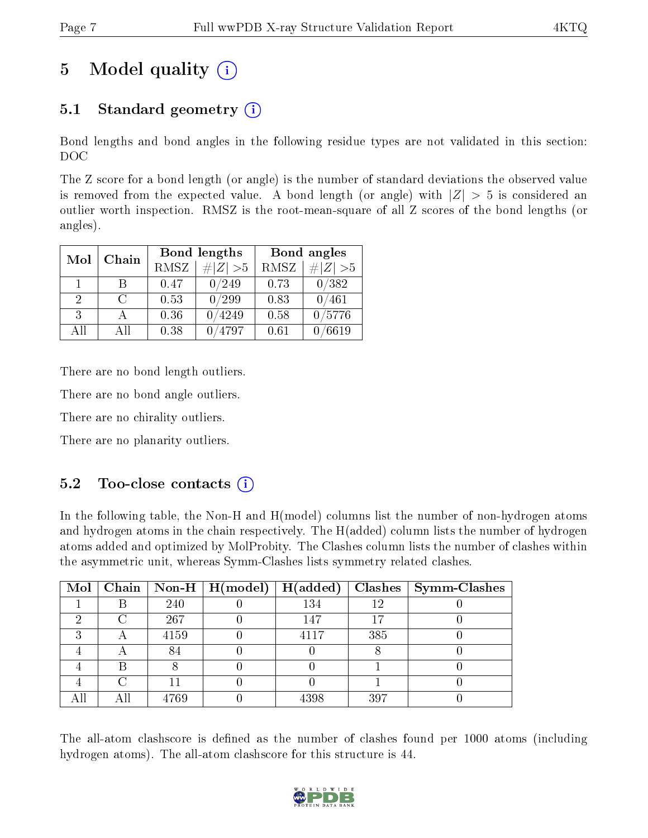# 5 Model quality  $(i)$

# 5.1 Standard geometry  $(i)$

Bond lengths and bond angles in the following residue types are not validated in this section: DOC

The Z score for a bond length (or angle) is the number of standard deviations the observed value is removed from the expected value. A bond length (or angle) with  $|Z| > 5$  is considered an outlier worth inspection. RMSZ is the root-mean-square of all Z scores of the bond lengths (or angles).

| Mol | Chain |      | Bond lengths | Bond angles |             |  |
|-----|-------|------|--------------|-------------|-------------|--|
|     |       | RMSZ | # Z  > 5     | RMSZ        | $\ Z\  > 5$ |  |
| 1   | R     | 0.47 | 0/249        | 0.73        | 0/382       |  |
| 2   | C     | 0.53 | 0/299        | 0.83        | 0/461       |  |
| 3   |       | 0.36 | 4249         | 0.58        | /5776       |  |
| AII | ΑH    | 0.38 | 4797         | 0.61        | 6619        |  |

There are no bond length outliers.

There are no bond angle outliers.

There are no chirality outliers.

There are no planarity outliers.

## $5.2$  Too-close contacts  $(i)$

In the following table, the Non-H and H(model) columns list the number of non-hydrogen atoms and hydrogen atoms in the chain respectively. The H(added) column lists the number of hydrogen atoms added and optimized by MolProbity. The Clashes column lists the number of clashes within the asymmetric unit, whereas Symm-Clashes lists symmetry related clashes.

| Mol |      | $\mid$ Chain $\mid$ Non-H $\mid$ H(model) | H(added) |     | $Clashes$   Symm-Clashes |
|-----|------|-------------------------------------------|----------|-----|--------------------------|
|     | 240  |                                           | 134      | 19  |                          |
|     | 267  |                                           | 147      |     |                          |
|     | 4159 |                                           | 4117     | 385 |                          |
|     |      |                                           |          |     |                          |
|     |      |                                           |          |     |                          |
|     |      |                                           |          |     |                          |
|     | 4769 |                                           | 4398     | 397 |                          |

The all-atom clashscore is defined as the number of clashes found per 1000 atoms (including hydrogen atoms). The all-atom clashscore for this structure is 44.

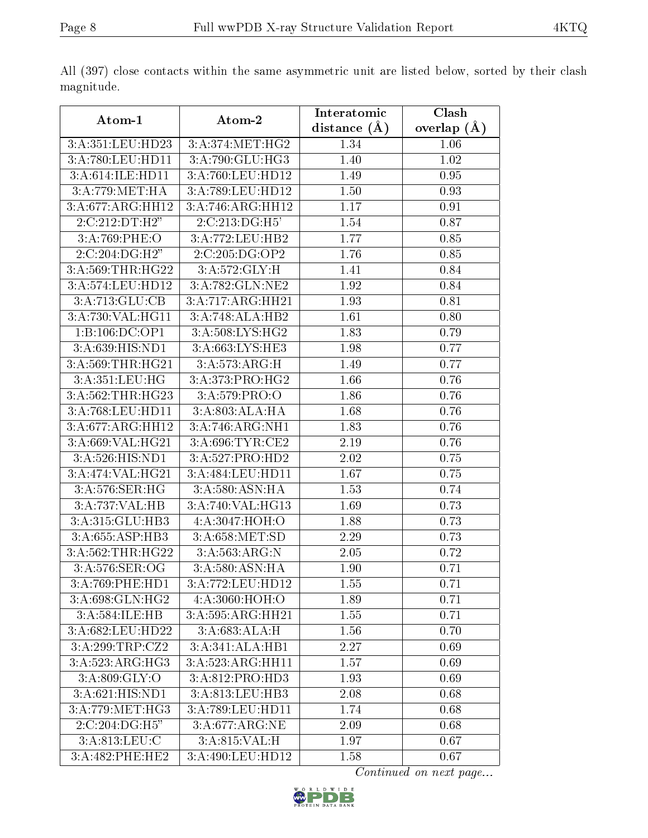|                                    |                                      | Interatomic    | Clash           |
|------------------------------------|--------------------------------------|----------------|-----------------|
| Atom-1                             | Atom-2                               | distance $(A)$ | overlap $(\AA)$ |
| 3:A:351:LEU:HD23                   | $3: A:374: MET:H\overline{G2}$       | 1.34           | 1.06            |
| 3:A:780:LEU:HD11                   | 3:A:790:GLU:HG3                      | 1.40           | $1.02\,$        |
| 3:A:614:ILE:HD11                   | 3:A:760:LEU:HD12                     | 1.49           | 0.95            |
| 3:A:779:MET:HA                     | 3:A:789:LEU:HD12                     | 1.50           | 0.93            |
| 3:A:677:ARG:HH12                   | 3:A:746:ARG:HH12                     | 1.17           | 0.91            |
| 2:C:212:DT:H2"                     | 2:C:213:DG:H5'                       | 1.54           | 0.87            |
| 3:A:769:PHE:O                      | 3:A:772:LEU:HB2                      | 1.77           | 0.85            |
| $2:C:204:DG:\overline{H2''}$       | 2:C:205:DG:OP2                       | 1.76           | 0.85            |
| 3:A:569:THR:HG22                   | 3:A:572:GLY:H                        | 1.41           | 0.84            |
| 3:A:574:LEU:HD12                   | 3:A:782:GLN:NE2                      | 1.92           | 0.84            |
| 3:A:713:GLU:CB                     | 3:A:717:ARG:HH21                     | 1.93           | 0.81            |
| 3:A:730:VAL:HG11                   | 3:A:748:ALA:HB2                      | 1.61           | 0.80            |
| 1:B:106:DC:OP1                     | 3:A:508:LYS:HG2                      | 1.83           | 0.79            |
| 3:A:639:HIS:ND1                    | 3:A:663:LYS:HE3                      | 1.98           | 0.77            |
| 3: A:569:THR:HG21                  | 3:A:573:ARG:H                        | 1.49           | 0.77            |
| 3:A:351:LEU:HG                     | 3:A:373:PRO:HG2                      | 1.66           | 0.76            |
| 3:A:562:THR:HG23                   | 3:A:579:PRO:O                        | 1.86           | 0.76            |
| 3:A:768:LEU:HD11                   | 3:A:803:ALA:HA                       | 1.68           | 0.76            |
| 3:A:677:ARG:HH12                   | 3:A:746:ARG:NH1                      | 1.83           | 0.76            |
| 3:A:669:VAL:HG21                   | 3:A:696:TYR:CE2                      | 2.19           | 0.76            |
| 3:A:526:HIS:ND1                    | $3:A:527:PRO:H\overline{D2}$         | 2.02           | 0.75            |
| 3:A:474:VAL:HG21                   | 3:A:484:LEU:HD11                     | 1.67           | 0.75            |
| $3:A:576:\overline{\text{SER:HG}}$ | 3:A:580:ASN:HA                       | 1.53           | 0.74            |
| 3:A:737:VAL:HB                     | $3:A:740:\overline{\text{VAL}:HG13}$ | 1.69           | 0.73            |
| 3:A:315:GLU:HB3                    | 4:A:3047:HOH:O                       | 1.88           | 0.73            |
| $3:A:655:\overline{ASP:HB3}$       | 3:A:658:MET:SD                       | 2.29           | 0.73            |
| 3:A:562:THR:HG22                   | 3:A:563:ARG:N                        | 2.05           | 0.72            |
| 3: A:576: SER: OG                  | 3:A:580:ASN:HA                       | 1.90           | 0.71            |
| 3:A:769:PHE:HD1                    | 3:A:772:LEU:HD12                     | 1.55           | 0.71            |
| 3: A:698: GLN: HG2                 | 4:A:3060:HOH:O                       | 1.89           | 0.71            |
| 3:A:584:ILE:HB                     | $3:A:595:A\overline{RG:HH21}$        | 1.55           | 0.71            |
| 3:A:682:LEU:HD22                   | 3:A:683:ALA:H                        | 1.56           | 0.70            |
| 3:A:299:TRP:CZ2                    | 3:A:341:ALA:HB1                      | 2.27           | 0.69            |
| $3:A:523:ARG:H\overline{G3}$       | 3: A: 523: ARG: HH11                 | 1.57           | 0.69            |
| 3: A:809: GLY:O                    | 3:A:812:PRO:HD3                      | 1.93           | 0.69            |
| $3:A:621:HI\overline{S:ND1}$       | 3:A:813:LEU:HB3                      | 2.08           | 0.68            |
| 3:A:779:MET:HG3                    | 3:A:789:LEU:HD11                     | 1.74           | 0.68            |
| 2:C:204:DG:H5"                     | 3:A:677:ARG:NE                       | 2.09           | 0.68            |
| 3: A:813: LEU: C                   | 3:A:815:VAL:H                        | 1.97           | 0.67            |
| 3:A:482:PHE:HE2                    | 3:A:490:LEU:HD12                     | 1.58           | 0.67            |

All (397) close contacts within the same asymmetric unit are listed below, sorted by their clash magnitude.

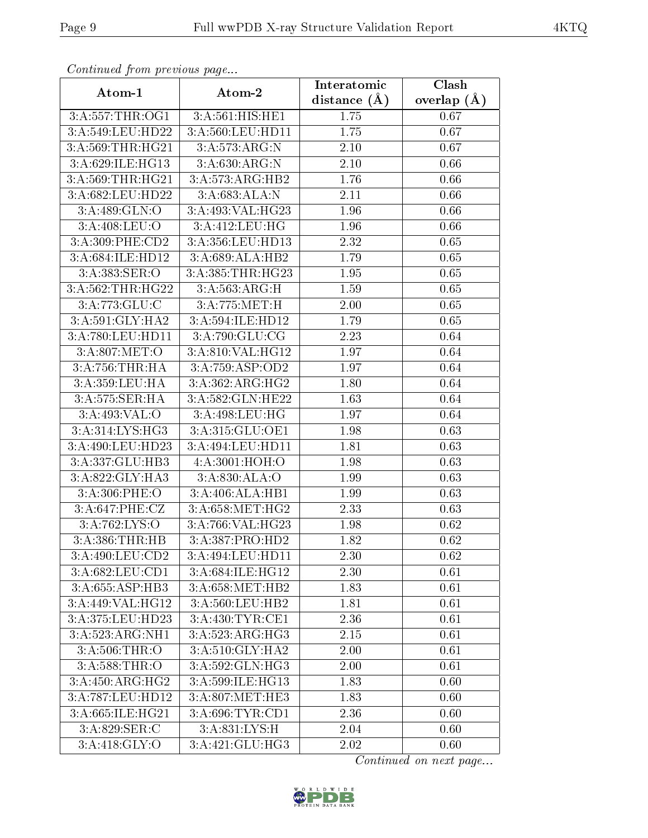| Continuati pont previous page |                                                       | Interatomic    | Clash           |
|-------------------------------|-------------------------------------------------------|----------------|-----------------|
| Atom-1                        | Atom-2                                                | distance $(A)$ | overlap $(\AA)$ |
| 3:A:557:THR:OG1               | 3:A:561:HIS:HE1                                       | 1.75           | 0.67            |
| 3:A:549:LEU:HD22              | 3:A:560:LEU:HD11                                      | 1.75           | 0.67            |
| 3:A:569:THR:HG21              | 3:A:573:ARG:N                                         | $2.10\,$       | 0.67            |
| 3:A:629:ILE:HG13              | 3:A:630:ARG:N                                         | $2.10\,$       | 0.66            |
| 3:A:569:THR:HG21              | 3:A:573:ARG:HB2                                       | 1.76           | 0.66            |
| 3:A:682:LEU:HD22              | 3:A:683:ALA:N                                         | 2.11           | 0.66            |
| 3:A:489:GLN:O                 | 3:A:493:VAL:HG23                                      | 1.96           | 0.66            |
| 3: A:408: LEU:O               | 3:A:412:LEU:HG                                        | 1.96           | 0.66            |
| 3:A:309:PHE:CD2               | 3:A:356:LEU:HD13                                      | 2.32           | 0.65            |
| 3:A:684:ILE:HD12              | 3:A:689:ALA:HB2                                       | 1.79           | 0.65            |
| 3:A:383:SER:O                 | 3:A:385:THR:HG23                                      | 1.95           | 0.65            |
| 3:A:562:THR:HG22              | 3:A:563:ARG:H                                         | 1.59           | 0.65            |
| 3:A:773:GLU:C                 | 3:A:775:MET:H                                         | 2.00           | 0.65            |
| 3:A:591:GLY:HA2               | 3:A:594:ILE:HD12                                      | 1.79           | 0.65            |
| 3:A:780:LEU:HD11              | 3:A:790:GLU:CG                                        | 2.23           | 0.64            |
| 3: A:807:MET:O                | 3:A:810:VAL:HG12                                      | 1.97           | 0.64            |
| 3:A:756:THR:HA                | 3:A:759:ASP:OD2                                       | 1.97           | 0.64            |
| 3:A:359:LEU:HA                | 3:A:362:ARG:HG2                                       | 1.80           | 0.64            |
| 3:A:575:SER:HA                | 3:A:582:GLN:HE22                                      | 1.63           | 0.64            |
| 3:A:493:VAL:O                 | 3: A:498: LEU: HG                                     | 1.97           | 0.64            |
| 3:A:314:LYS:HG3               | 3:A:315:GLU:OE1                                       | 1.98           | 0.63            |
| 3:A:490:LEU:HD23              | 3:A:494:LEU:HD11                                      | 1.81           | 0.63            |
| 3:A:337:GLU:HB3               | 4:A:3001:HOH:O                                        | 1.98           | 0.63            |
| 3:A:822:GLY:HA3               | 3:A:830:ALA:O                                         | 1.99           | 0.63            |
| 3:A:306:PHE:O                 | 3:A:406:ALA:HB1                                       | 1.99           | 0.63            |
| 3:A:647:PHE:CZ                | 3:A:658:MET:HG2                                       | 2.33           | 0.63            |
| 3:A:762:LYS:O                 | 3:A:766:VAL:HG23                                      | 1.98           | 0.62            |
| 3:A:386:THR:HB                | 3:A:387:PRO:HD2                                       | 1.82           | 0.62            |
| 3:A:490:LEU:CD2               | 3:A:494:LEU:HD11                                      | 2.30           | 0.62            |
| 3:A:682:LEU:CD1               | 3:A:684:ILE:HG12                                      | 2.30           | 0.61            |
| 3:A:655:ASP:HB3               | 3: A:658:MET:HB2                                      | 1.83           | 0.61            |
| 3:A:449:VAL:HG12              | 3:A:560:LEU:HB2                                       | 1.81           | 0.61            |
| 3:A:375:LEU:HD23              | 3: A: 430: TYR: CE1                                   | 2.36           | 0.61            |
| 3:A:523:ARG:NH1               | 3:A:523:ARG:HG3                                       | 2.15           | 0.61            |
| 3:A:506:THR:O                 | 3:A:510:GLY:HA2                                       | 2.00           | 0.61            |
| 3:A:588:THR:O                 | $3:\stackrel{\textstyle \overline{A:592:GLN:HG3}}{ }$ | 2.00           | 0.61            |
| 3:A:450:ARG:HG2               | 3:A:599:ILE:HG13                                      | 1.83           | 0.60            |
| 3:A:787:LEU:HD12              | 3:A:807:MET:HE3                                       | 1.83           | 0.60            |
| 3:A:665:ILE:HG21              | 3:A:696:TYR:CD1                                       | 2.36           | 0.60            |
| 3:A:829:SER:C                 | 3:A:831:LYS:H                                         | 2.04           | 0.60            |
| 3:A:418:GLY:O                 | 3:A:421:GLU:HG3                                       | 2.02           | 0.60            |

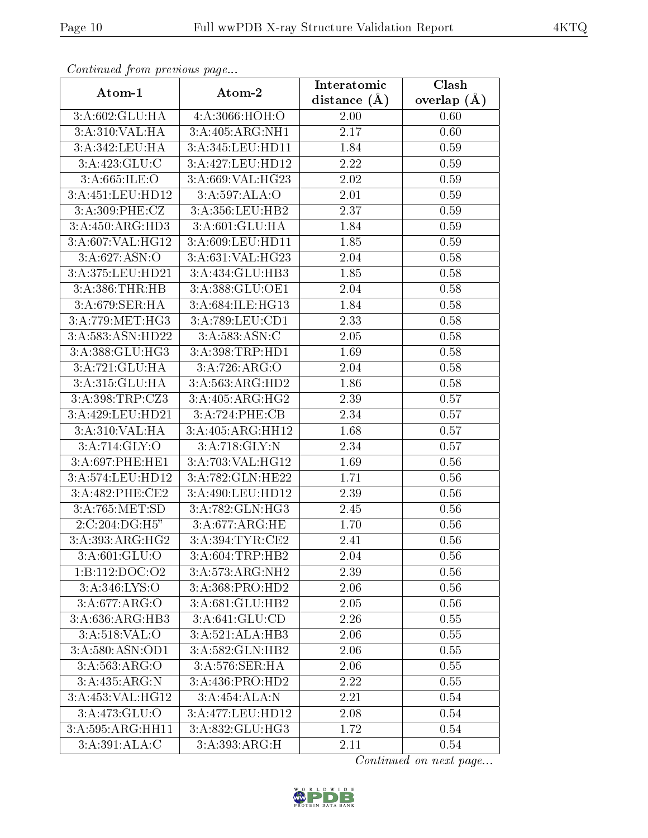| Continuea from previous page<br>Clash<br>Interatomic |                  |                   |                 |  |
|------------------------------------------------------|------------------|-------------------|-----------------|--|
| Atom-1                                               | Atom-2           | distance $(A)$    | overlap $(\AA)$ |  |
| 3:A:602:GLU:HA                                       | 4:A:3066:HOH:O   | 2.00              | 0.60            |  |
| 3:A:310:VAL:HA                                       | 3:A:405:ARG:NH1  | $\overline{2.17}$ | 0.60            |  |
| 3:A:342:LEU:HA                                       | 3:A:345:LEU:HD11 | 1.84              | 0.59            |  |
| 3:A:423:GLU:C                                        | 3:A:427:LEU:HD12 | 2.22              | 0.59            |  |
| 3: A:665: ILE: O                                     | 3:A:669:VAL:HG23 | 2.02              | 0.59            |  |
| 3:A:451:LEU:HD12                                     | 3:A:597:ALA:O    | 2.01              | 0.59            |  |
| 3:A:309:PHE:CZ                                       | 3:A:356:LEU:HB2  | 2.37              | 0.59            |  |
| 3:A:450:ARG:HD3                                      | 3:A:601:GLU:HA   | 1.84              | 0.59            |  |
| 3:A:607:VAL:HG12                                     | 3:A:609:LEU:HD11 | 1.85              | 0.59            |  |
| 3:A:627:ASN:O                                        | 3:A:631:VAL:HG23 | 2.04              | 0.58            |  |
| 3:A:375:LEU:HD21                                     | 3:A:434:GLU:HB3  | 1.85              | 0.58            |  |
| 3:A:386:THR:HB                                       | 3:A:388:GLU:OE1  | 2.04              | 0.58            |  |
| 3:A:679:SER:HA                                       | 3:A:684:ILE:HG13 | 1.84              | 0.58            |  |
| 3:A:779:MET:HG3                                      | 3:A:789:LEU:CD1  | 2.33              | 0.58            |  |
| 3:A:583:ASN:HD22                                     | 3:A:583:ASN:C    | 2.05              | 0.58            |  |
| 3:A:388:GLU:HG3                                      | 3:A:398:TRP:HD1  | 1.69              | 0.58            |  |
| 3:A:721:GLU:HA                                       | 3:A:726:ARG:O    | 2.04              | 0.58            |  |
| 3:A:315:GLU:HA                                       | 3:A:563:ARG:HD2  | 1.86              | 0.58            |  |
| 3:A:398:TRP:CZ3                                      | 3:A:405:ARG:HG2  | 2.39              | 0.57            |  |
| 3:A:429:LEU:HD21                                     | 3:A:724:PHE:CB   | 2.34              | 0.57            |  |
| 3:A:310:VAL:HA                                       | 3:A:405:ARG:HH12 | 1.68              | 0.57            |  |
| 3:A:714:GLY:O                                        | 3:A:718:GLY:N    | 2.34              | 0.57            |  |
| 3:A:697:PHE:HE1                                      | 3:A:703:VAL:HG12 | 1.69              | 0.56            |  |
| 3:A:574:LEU:HD12                                     | 3:A:782:GLN:HE22 | 1.71              | 0.56            |  |
| 3:A:482:PHE:CE2                                      | 3:A:490:LEU:HD12 | 2.39              | 0.56            |  |
| 3:A:765:MET:SD                                       | 3:A:782:GLN:HG3  | 2.45              | 0.56            |  |
| 2:C:204:DG:H5"                                       | 3:A:677:ARG:HE   | 1.70              | 0.56            |  |
| 3:A:393:ARG:HG2                                      | 3:A:394:TYR:CE2  | 2.41              | 0.56            |  |
| 3:A:601:GLU:O                                        | 3:A:604:TRP:HB2  | 2.04              | 0.56            |  |
| 1:B:112:DOC:O2                                       | 3:A:573:ARG:NH2  | 2.39              | 0.56            |  |
| 3:A:346:LYS:O                                        | 3:A:368:PRO:HD2  | 2.06              | 0.56            |  |
| 3:A:677:ARG:O                                        | 3:A:681:GLU:HB2  | 2.05              | 0.56            |  |
| 3: A:636:ARG:HB3                                     | 3: A:641: GLU:CD | 2.26              | 0.55            |  |
| 3: A:518: VAL:O                                      | 3:A:521:ALA:HB3  | 2.06              | 0.55            |  |
| 3:A:580:ASN:OD1                                      | 3:A:582:GLN:HB2  | 2.06              | 0.55            |  |
| 3:A:563:ARG:O                                        | 3:A:576:SER:HA   | 2.06              | 0.55            |  |
| 3:A:435:ARG:N                                        | 3:A:436:PRO:HD2  | 2.22              | 0.55            |  |
| 3:A:453:VAL:HG12                                     | 3:A:454:ALA:N    | 2.21              | 0.54            |  |
| 3:A:473:GLU:O                                        | 3:A:477:LEU:HD12 | 2.08              | 0.54            |  |
| 3:A:595:ARG:HH11                                     | 3:A:832:GLU:HG3  | 1.72              | 0.54            |  |
| 3:A:391:ALA:C                                        | 3:A:393:ARG:H    | 2.11              | 0.54            |  |

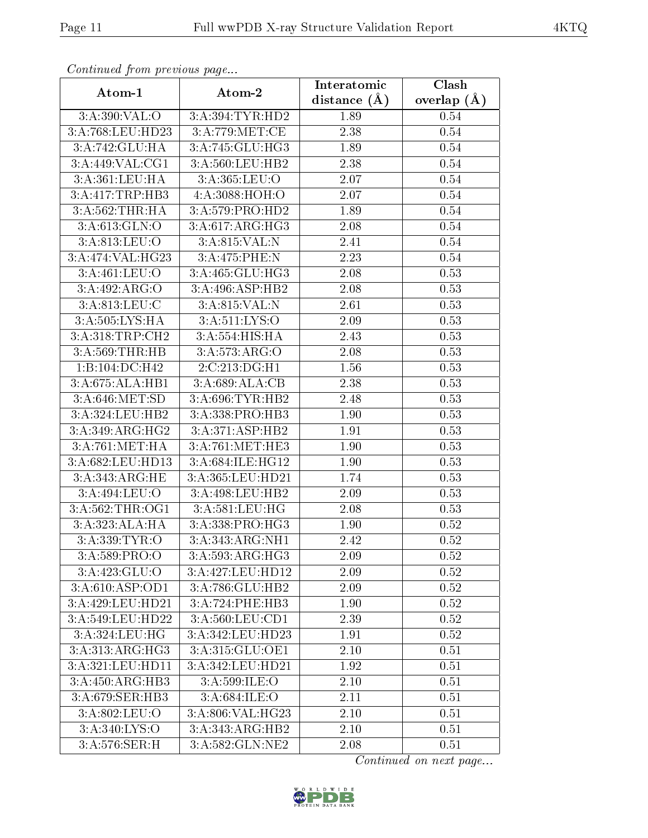| сонинией јтот ртеvиоиз раде<br>Clash<br>Interatomic |                   |                |               |  |  |
|-----------------------------------------------------|-------------------|----------------|---------------|--|--|
| Atom-1                                              | Atom-2            | distance $(A)$ | overlap $(A)$ |  |  |
| 3:A:390:VAL:O                                       | 3:A:394:TYR:HD2   | 1.89           | 0.54          |  |  |
| 3:A:768:LEU:HD23                                    | 3:A:779:MET:CE    | 2.38           | 0.54          |  |  |
| 3:A:742:GLU:HA                                      | 3:A:745:GLU:HG3   | 1.89           | 0.54          |  |  |
| 3:A:449:VAL:CG1                                     | 3:A:560:LEU:HB2   | 2.38           | 0.54          |  |  |
| 3: A:361:LEU:HA                                     | 3: A: 365: LEU: O | 2.07           | 0.54          |  |  |
| 3:A:417:TRP:HB3                                     | 4:A:3088:HOH:O    | 2.07           | 0.54          |  |  |
| 3:A:562:THR:HA                                      | 3:A:579:PRO:HD2   | 1.89           | 0.54          |  |  |
| 3:A:613:GLN:O                                       | 3:A:617:ARG:HG3   | 2.08           | 0.54          |  |  |
| 3:A:813:LEU:O                                       | 3:A:815:VAL:N     | 2.41           | 0.54          |  |  |
| 3:A:474:VAL:HG23                                    | 3:A:475:PHE:N     | 2.23           | 0.54          |  |  |
| 3:A:461:LEU:O                                       | 3:A:465:GLU:HG3   | 2.08           | 0.53          |  |  |
| 3:A:492:ARG:O                                       | 3:A:496:ASP:HB2   | 2.08           | 0.53          |  |  |
| 3:A:813:LEU:C                                       | 3:A:815:VAL:N     | 2.61           | 0.53          |  |  |
| 3:A:505:LYS:HA                                      | 3: A:511: LYS:O   | 2.09           | 0.53          |  |  |
| 3:A:318:TRP:CH2                                     | 3:A:554:HIS:HA    | 2.43           | 0.53          |  |  |
| 3:A:569:THR:HB                                      | 3:A:573:ARG:O     | 2.08           | 0.53          |  |  |
| 1:B:104:DC:H42                                      | 2:C:213:DG:H1     | 1.56           | 0.53          |  |  |
| 3:A:675:ALA:HB1                                     | 3:A:689:ALA:CB    | 2.38           | 0.53          |  |  |
| 3:A:646:MET:SD                                      | 3:A:696:TYR:HB2   | 2.48           | 0.53          |  |  |
| 3:A:324:LEU:HB2                                     | 3:A:338:PRO:HB3   | 1.90           | 0.53          |  |  |
| 3:A:349:ARG:HG2                                     | 3:A:371:ASP:HB2   | 1.91           | 0.53          |  |  |
| 3:A:761:MET:HA                                      | 3:A:761:MET:HE3   | 1.90           | 0.53          |  |  |
| $3:\overline{A}:682:\text{LEU}:HD13$                | 3:A:684:ILE:HG12  | 1.90           | 0.53          |  |  |
| 3:A:343:ARG:HE                                      | 3:A:365:LEU:HD21  | 1.74           | 0.53          |  |  |
| 3:A:494:LEU:O                                       | 3:A:498:LEU:HB2   | 2.09           | 0.53          |  |  |
| 3:A:562:THR:OG1                                     | 3:A:581:LEU:HG    | 2.08           | 0.53          |  |  |
| 3:A:323:ALA:HA                                      | 3:A:338:PRO:HG3   | 1.90           | 0.52          |  |  |
| 3:A:339:TYR:O                                       | 3:A:343:ARG:NH1   | 2.42           | 0.52          |  |  |
| 3:A:589:PRO:O                                       | 3:A:593:ARG:HG3   | 2.09           | 0.52          |  |  |
| 3:A:423:GLU:O                                       | 3:A:427:LEU:HD12  | 2.09           | 0.52          |  |  |
| 3:A:610:ASP:OD1                                     | 3:A:786:GLU:HB2   | 2.09           | 0.52          |  |  |
| 3: A:429:LEU:HD21                                   | 3:A:724:PHE:HB3   | 1.90           | 0.52          |  |  |
| 3:A:549:LEU:HD22                                    | 3:A:560:LEU:CD1   | 2.39           | 0.52          |  |  |
| 3:A:324:LEU:HG                                      | 3:A:342:LEU:HD23  | 1.91           | 0.52          |  |  |
| 3:A:313:ARG:HG3                                     | 3:A:315:GLU:OE1   | 2.10           | 0.51          |  |  |
| 3:A:321:LEU:HD11                                    | 3:A:342:LEU:HD21  | 1.92           | 0.51          |  |  |
| 3:A:450:ARG:HB3                                     | 3: A:599: ILE: O  | 2.10           | 0.51          |  |  |
| 3:A:679:SER:HB3                                     | 3: A:684: ILE: O  | 2.11           | 0.51          |  |  |
| 3:A:802:LEU:O                                       | 3:A:806:VAL:HG23  | 2.10           | 0.51          |  |  |
| 3: A:340: LYS:O                                     | 3:A:343:ARG:HB2   | 2.10           | 0.51          |  |  |
| 3:A:576:SER:H                                       | 3:A:582:GLN:NE2   | 2.08           | 0.51          |  |  |

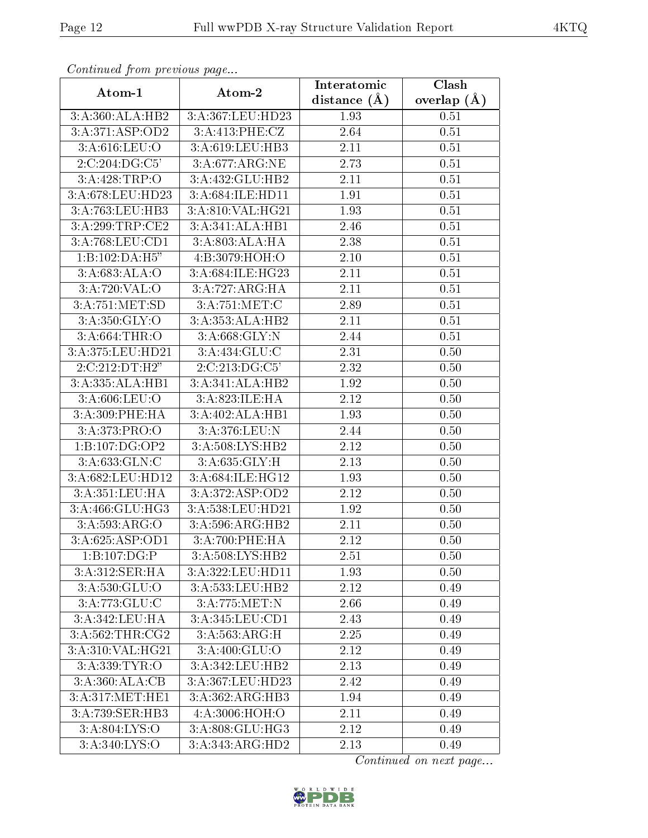| Continuati prom provious pago  |                             | Interatomic       | Clash         |  |
|--------------------------------|-----------------------------|-------------------|---------------|--|
| Atom-1                         | Atom-2                      | distance $(A)$    | overlap $(A)$ |  |
| 3:A:360:ALA:HB2                | 3:A:367:LEU:HD23            | 1.93              | 0.51          |  |
| 3:A:371:ASP:OD2                | 3:A:413:PHE:CZ              | 2.64              | 0.51          |  |
| 3: A:616: LEU:O                | 3:A:619:LEU:HB3             | 2.11              | 0.51          |  |
| 2:C:204:DG:C5'                 | 3:A:677:ARG:NE              | 2.73              | 0.51          |  |
| 3:A:428:TRP:O                  | 3:A:432:GLU:HB2             | 2.11              | 0.51          |  |
| 3:A:678:LEU:HD23               | 3:A:684:ILE:HD11            | 1.91              | 0.51          |  |
| $3:A:763:\t\overline{LEU:HB3}$ | 3:A:810:VAL:HG21            | 1.93              | 0.51          |  |
| 3:A:299:TRP:CE2                | 3:A:341:ALA:HB1             | 2.46              | 0.51          |  |
| 3:A:768:LEU:CD1                | 3:A:803:ALA:HA              | 2.38              | 0.51          |  |
| 1:B:102:DA:H5"                 | 4:B:3079:HOH:O              | 2.10              | 0.51          |  |
| 3: A:683: ALA:O                | 3:A:684:ILE:HG23            | 2.11              | 0.51          |  |
| 3:A:720:VAL:O                  | 3:A:727:ARG:HA              | 2.11              | 0.51          |  |
| 3:A:751:MET:SD                 | 3:A:751:MET:C               | 2.89              | 0.51          |  |
| 3: A:350: GLY:O                | 3:A:353:ALA:HB2             | 2.11              | 0.51          |  |
| 3:A:664:THR:O                  | 3:A:668:GLY:N               | 2.44              | 0.51          |  |
| 3:A:375:LEU:HD21               | 3:A:434:GLU:C               | 2.31              | 0.50          |  |
| 2:C:212:DT:H2"                 | 2:C:213:DG:C5'              | 2.32              | 0.50          |  |
| 3:A:335:ALA:HB1                | 3:A:341:ALA:HB2             | 1.92              | 0.50          |  |
| 3:A:606:LEU:O                  | 3:A:823:ILE:HA              | 2.12              | 0.50          |  |
| 3: A:309: PHE: HA              | 3:A:402:ALA:HB1             | 1.93              | 0.50          |  |
| 3:A:373:PRO:O                  | 3:A:376:LEU:N               | $\overline{2.44}$ | 0.50          |  |
| 1:B:107:DG:OP2                 | 3:A:508:LYS:HB2             | 2.12              | 0.50          |  |
| 3:A:633:GLN:C                  | 3:A:635:GLY:H               | 2.13              | 0.50          |  |
| 3:A:682:LEU:HD12               | 3:A:684:ILE:HG12            | 1.93              | 0.50          |  |
| 3:A:351:LEU:HA                 | 3: A:372: ASP:OD2           | 2.12              | 0.50          |  |
| 3:A:466:GLU:HG3                | $3: A:538:$ LEU:HD21        | 1.92              | 0.50          |  |
| 3:A:593:ARG:O                  | 3:A:596:ARG:HB2             | 2.11              | 0.50          |  |
| 3:A:625:ASP:OD1                | $3:A:700:PHE:\overline{HA}$ | 2.12              | 0.50          |  |
| 1:B:107:DG:P                   | 3:A:508:LYS:HB2             | 2.51              | 0.50          |  |
| 3:A:312:SER:HA                 | 3:A:322:LEU:HD11            | 1.93              | 0.50          |  |
| 3:A:530:GLU:O                  | 3:A:533:LEU:HB2             | 2.12              | 0.49          |  |
| 3:A:773:GLU:C                  | 3:A:775:MET:N               | 2.66              | 0.49          |  |
| 3:A:342:LEU:HA                 | 3:A:345:LEU:CD1             | 2.43              | 0.49          |  |
| 3:A:562:THR:CG2                | 3:A:563:ARG:H               | 2.25              | 0.49          |  |
| 3: A:310: VAL: HG21            | 3:A:400:GLU:O               | 2.12              | 0.49          |  |
| 3:A:339:TYR:O                  | 3:A:342:LEU:HB2             | 2.13              | 0.49          |  |
| 3:A:360:ALA:CB                 | 3:A:367:LEU:HD23            | 2.42              | 0.49          |  |
| 3:A:317:MET:HE1                | 3:A:362:ARG:HB3             | 1.94              | 0.49          |  |
| 3:A:739:SER:HB3                | 4: A:3006:HOH:O             | 2.11              | 0.49          |  |
| 3:A:804:LYS:O                  | 3:A:808:GLU:HG3             | 2.12              | 0.49          |  |
| 3:A:340:LYS:O                  | 3:A:343:ARG:HD2             | 2.13              | 0.49          |  |

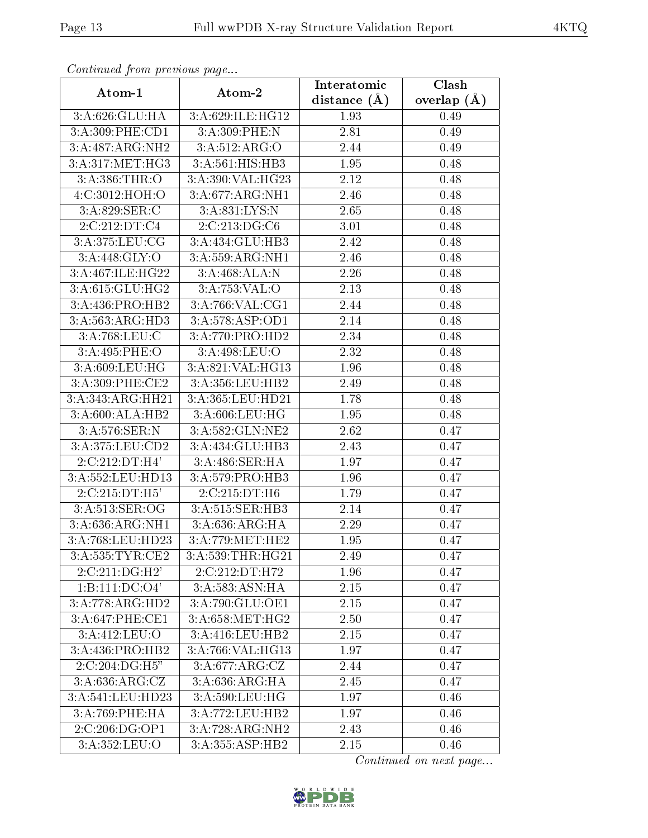| Continuea from previous page |                                               | Interatomic    | Clash         |
|------------------------------|-----------------------------------------------|----------------|---------------|
| Atom-1                       | Atom-2                                        | distance $(A)$ | overlap $(A)$ |
| 3:A:626:GLU:HA               | 3:A:629:ILE:HG12                              | 1.93           | 0.49          |
| 3:A:309:PHE:CD1              | 3:A:309:PHE:N                                 | 2.81           | 0.49          |
| 3:A:487:ARG:NH2              | 3:A:512:ARG:O                                 | 2.44           | 0.49          |
| 3: A:317: MET:HG3            | 3:A:561:HIS:HB3                               | 1.95           | 0.48          |
| 3:A:386:THR:O                | 3:A:390:VAL:HG23                              | 2.12           | 0.48          |
| 4:C:3012:HOH:O               | 3:A:677:ARG:NH1                               | 2.46           | 0.48          |
| $3:A.829$ :SER:C             | 3:A:831:LYS:N                                 | 2.65           | 0.48          |
| 2:C:212:DT:C4                | 2:C:213:DG:CG                                 | 3.01           | 0.48          |
| 3:A:375:LEU:CG               | 3:A:434:GLU:HB3                               | 2.42           | 0.48          |
| 3: A:448: GLY:O              | 3:A:559:ARG:NH1                               | 2.46           | 0.48          |
| 3:A:467:ILE:HG22             | 3:A:468:ALA:N                                 | 2.26           | 0.48          |
| 3:A:615:GLU:HG2              | 3:A:753:VAL:O                                 | 2.13           | 0.48          |
| 3:A:436:PRO:HB2              | 3:A:766:VAL:CG1                               | 2.44           | 0.48          |
| 3:A:563:ARG:HD3              | 3:A:578:ASP:OD1                               | 2.14           | 0.48          |
| 3:A:768:LEU:C                | 3:A:770:PRO:HD2                               | 2.34           | 0.48          |
| 3:A:495:PHE:O                | 3:A:498:LEU:O                                 | 2.32           | 0.48          |
| 3:A:609:LEU:HG               | 3:A:821:VAL:HG13                              | 1.96           | 0.48          |
| 3:A:309:PHE:CE2              | 3:A:356:LEU:HB2                               | 2.49           | 0.48          |
| 3:A:343:ARG:HH21             | 3:A:365:LEU:HD21                              | 1.78           | 0.48          |
| 3:A:600:ALA:HB2              | 3: A:606: LEU: HG                             | 1.95           | 0.48          |
| 3:A:576:SER:N                | 3:A:582:GLN:NE2                               | 2.62           | 0.47          |
| 3:A:375:LEU:CD2              | $3:A:434:GL\overline{U:HB3}$                  | 2.43           | 0.47          |
| $2:C:212:DT:\overline{H4'}$  | 3:A:486:SER:HA                                | 1.97           | 0.47          |
| 3:A:552:LEU:HD13             | 3:A:579:PRO:HB3                               | 1.96           | 0.47          |
| 2:C:215:DT:H5'               | 2:C:215:DT:H6                                 | 1.79           | 0.47          |
| 3:A:513:SER:OG               | 3:A:515:SER:HB3                               | 2.14           | 0.47          |
| 3:A:636:ARG:NH1              | 3:A:636:ARG:HA                                | 2.29           | 0.47          |
| 3:A:768:LEU:HD23             | 3:A:779:MET:HE2                               | 1.95           | 0.47          |
| 3:A:535:TYR:CE2              | 3:A:539:THR:HG21                              | 2.49           | 0.47          |
| $2:C:211:D\overline{G:H2'}$  | 2:C:212:DT:HT2                                | 1.96           | 0.47          |
| 1:B:111:DC:O4'               | 3:A:583:ASN:HA                                | 2.15           | 0.47          |
| 3:A:778:ARG:HD2              | 3:A:790:GLU:OE1                               | 2.15           | 0.47          |
| 3:A:647:PHE:CE1              | 3:A:658:MET:HG2                               | 2.50           | 0.47          |
| 3:A:412:LEU:O                | 3:A:416:LEU:HB2                               | 2.15           | 0.47          |
| 3:A:436:PRO:HB2              | 3:A:766:VAL:HG13                              | 1.97           | 0.47          |
| 2:C:204:DG:H5"               | 3:A:677:ARG:CZ                                | 2.44           | 0.47          |
| 3:A:636:ARG:CZ               | 3:A:636:ARG:HA                                | 2.45           | 0.47          |
| 3:A:541:LEU:HD23             | $3:A:590:\overline{\textrm{LEU}:\textrm{HG}}$ | 1.97           | 0.46          |
| 3:A:769:PHE:HA               | 3:A:772:LEU:HB2                               | 1.97           | 0.46          |
| $2:C:206:D\overline{G:OP1}$  | 3:A:728:ARG:NH2                               | 2.43           | 0.46          |
| 3:A:352:LEU:O                | 3:A:355:ASP:HB2                               | 2.15           | 0.46          |

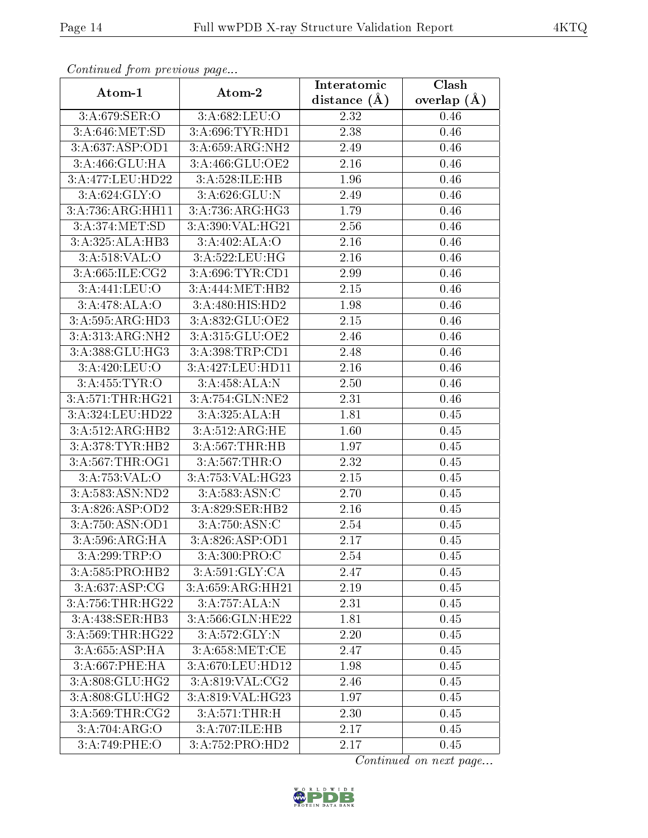| Commune from previous page          |                              | Interatomic    | Clash         |
|-------------------------------------|------------------------------|----------------|---------------|
| Atom-1                              | Atom-2                       | distance $(A)$ | overlap $(A)$ |
| 3:A:679:SER:O                       | 3:A:682:LEU:O                | 2.32           | 0.46          |
| 3:A:646:MET:SD                      | 3:A:696:TYR:HD1              | 2.38           | 0.46          |
| 3:A:637:ASP:OD1                     | 3:A:659:ARG:NH2              | 2.49           | 0.46          |
| 3:A:466:GLU:HA                      | 3:A:466:GLU:OE2              | 2.16           | 0.46          |
| 3:A:477:LEU:HD22                    | 3:A:528:ILE:HB               | 1.96           | 0.46          |
| 3: A:624: GLY:O                     | 3:A:626:GLU:N                | 2.49           | 0.46          |
| 3:A:736:ARG:HH11                    | $3:A:736:ARG:\overline{HG3}$ | 1.79           | 0.46          |
| 3: A:374: MET:SD                    | 3:A:390:VAL:HG21             | 2.56           | 0.46          |
| 3:A:325:ALA:HB3                     | 3:A:402:ALA:O                | 2.16           | 0.46          |
| 3: A:518: VAL:O                     | 3:A:522:LEU:HG               | 2.16           | 0.46          |
| 3:A:665:ILE:CG2                     | 3:A:696:TYR:CD1              | 2.99           | 0.46          |
| 3:A:441:LEU:O                       | 3:A:444:MET:HB2              | 2.15           | 0.46          |
| 3:A:478:ALA:O                       | 3:A:480:HIS:HD2              | 1.98           | 0.46          |
| 3:A:595:ARG:HD3                     | 3:A:832:GLU:OE2              | 2.15           | 0.46          |
| 3:A:313:ARG:NH2                     | 3:A:315:GLU:OE2              | 2.46           | 0.46          |
| 3:A:388:GLU:HG3                     | 3:A:398:TRP:CD1              | 2.48           | 0.46          |
| 3:A:420:LEU:O                       | 3:A:427:LEU:HD11             | 2.16           | 0.46          |
| 3: A: 455: TYR: O                   | 3:A:458:ALA:N                | 2.50           | 0.46          |
| 3:A:571:THR:HG21                    | 3:A:754:GLN:NE2              | 2.31           | 0.46          |
| 3:A:324:LEU:HD22                    | 3:A:325:ALA:H                | 1.81           | 0.45          |
| 3:A:512:ARG:HB2                     | 3:A:512:ARG:HE               | 1.60           | 0.45          |
| 3:A:378:TYR:HB2                     | 3:A:567:THR:HB               | 1.97           | 0.45          |
| 3:A:567:THR:OG1                     | 3:A:567:THR:O                | 2.32           | 0.45          |
| 3:A:753:VAL:O                       | 3:A:753:VAL:HG23             | 2.15           | 0.45          |
| 3:A:583:ASN:ND2                     | 3:A:583:ASN:C                | 2.70           | 0.45          |
| 3:A:826:ASP:OD2                     | 3:A:829:SER:HB2              | 2.16           | 0.45          |
| 3:A:750:ASN:OD1                     | 3:A:750:ASN:C                | 2.54           | 0.45          |
| 3: A:596: ARG:H A                   | 3: A:826: ASP:OD1            | 2.17           | 0.45          |
| 3:A:299:TRP:O                       | 3: A:300:PRO:C               | 2.54           | 0.45          |
| 3:A:585:PRO:HB2                     | 3:A:591:GLY:CA               | 2.47           | 0.45          |
| 3:A:637:ASP:CG                      | 3:A:659:ARG:HH21             | 2.19           | 0.45          |
| 3:A:756:THR:HG22                    | 3:A:757:ALA:N                | 2.31           | 0.45          |
| $3:A:438:\overline{\text{SER:HB3}}$ | 3:A:566: GLN: HE22           | 1.81           | 0.45          |
| 3:A:569:THR:HG22                    | 3:A:572:GLY:N                | 2.20           | 0.45          |
| 3:A:655:ASP:HA                      | 3: A:658:MET:CE              | 2.47           | 0.45          |
| 3:A:667:PHE:HA                      | 3:A:670:LEU:HD12             | 1.98           | 0.45          |
| 3:A:808:GLU:HG2                     | 3:A:819:VAL:CG2              | 2.46           | 0.45          |
| 3:A:808:GLU:HG2                     | 3:A:819:VAL:HG23             | 1.97           | 0.45          |
| 3:A:569:THR:CG2                     | 3:A:571:THR:H                | 2.30           | 0.45          |
| 3:A:704:ARG:O                       | 3:A:707:ILE:HB               | 2.17           | 0.45          |
| 3:A:749:PHE:O                       | 3:A:752:PRO:HD2              | 2.17           | 0.45          |

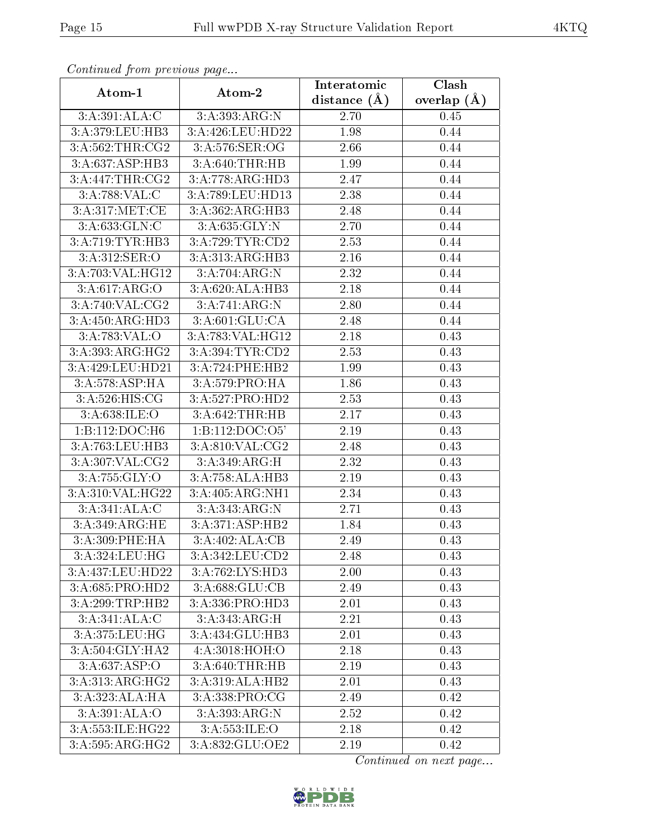| communa jioin premas page    |                     | Interatomic    | Clash           |
|------------------------------|---------------------|----------------|-----------------|
| Atom-1                       | Atom-2              | distance $(A)$ | overlap $(\AA)$ |
| 3:A:391:ALA:C                | 3:A:393:ARG:N       | 2.70           | 0.45            |
| 3:A:379:LEU:HB3              | 3:A:426:LEU:HD22    | 1.98           | 0.44            |
| 3:A:562:THR:CG2              | 3:A:576:SER:OG      | 2.66           | 0.44            |
| 3:A:637:ASP:HB3              | 3:A:640:THR:HB      | 1.99           | 0.44            |
| 3:A:447:THR:CG2              | 3:A:778:ARG:HD3     | 2.47           | 0.44            |
| 3:A:788:VAL:CC               | 3:A:789:LEU:HD13    | 2.38           | 0.44            |
| 3:A:317:MET:CE               | 3:A:362:ARG:HB3     | 2.48           | 0.44            |
| 3:A:633:GLN:C                | 3: A:635: GLY:N     | 2.70           | 0.44            |
| 3:A:719:TYR:HB3              | 3:A:729:TYR:CD2     | 2.53           | 0.44            |
| 3:A:312:SER:O                | 3:A:313:ARG:HB3     | 2.16           | 0.44            |
| 3:A:703:VAL:HG12             | 3:A:704:ARG:N       | 2.32           | 0.44            |
| 3:A:617:ARG:O                | 3:A:620:ALA:HB3     | 2.18           | 0.44            |
| 3:A:740:VAL:CG2              | 3:A:741:ARG:N       | 2.80           | 0.44            |
| 3:A:450:ARG:HD3              | 3:A:601:GLU:CA      | 2.48           | 0.44            |
| 3:A:783:VAL:O                | 3:A:783:VAL:HG12    | 2.18           | 0.43            |
| 3:A:393:ARG:HG2              | 3:A:394:TYR:CD2     | 2.53           | 0.43            |
| 3:A:429:LEU:HD21             | 3:A:724:PHE:HB2     | 1.99           | 0.43            |
| 3:A:578:ASP:HA               | 3:A:579:PRO:HA      | 1.86           | 0.43            |
| 3:A:526:HIS:CG               | 3:A:527:PRO:HD2     | 2.53           | 0.43            |
| 3: A:638: ILE: O             | 3:A:642:THR:HB      | 2.17           | 0.43            |
| 1:B:112:DOC:H6               | 1: B: 112: DOC: O5' | 2.19           | 0.43            |
| 3:A:763:LEU:HB3              | 3:A:810:VAL:CG2     | 2.48           | 0.43            |
| 3:A:307:VAL:CG2              | 3:A:349:ARG:H       | 2.32           | 0.43            |
| 3:A:755:GLY:O                | 3:A:758:ALA:HB3     | 2.19           | 0.43            |
| 3:A:310:VAL:HG22             | 3:A:405:ARG:NH1     | 2.34           | 0.43            |
| 3:A:341:ALA:C                | 3:A:343:ARG:N       | 2.71           | 0.43            |
| 3: A:349: ARG: HE            | 3:A:371:ASP:HB2     | 1.84           | 0.43            |
| 3: A:309: PHE: HA            | 3:A:402:ALA:CB      | 2.49           | 0.43            |
| 3:A:324:LEU:HG               | 3:A:342:LEU:CD2     | 2.48           | 0.43            |
| 3:A:437:LEU:HD22             | 3:A:762:LYS:HD3     | 2.00           | 0.43            |
| 3:A:685:PRO:HD2              | 3:A:688:GLU:CB      | 2.49           | 0.43            |
| $3:A:299:TRP:\overline{HB2}$ | 3:A:336:PRO:HD3     | 2.01           | 0.43            |
| 3:A:341:ALA:C                | 3:A:343:ARG:H       | 2.21           | 0.43            |
| 3:A:375:LEU:HG               | 3:A:434:GLU:HB3     | 2.01           | 0.43            |
| 3:A:504:GLY:HA2              | 4: A:3018: HOH:O    | 2.18           | 0.43            |
| 3:A:637:ASP:O                | 3:A:640:THR:HB      | 2.19           | 0.43            |
| 3:A:313:ARG:HG2              | 3:A:319:ALA:HB2     | 2.01           | 0.43            |
| 3:A:323:ALA:HA               | 3:A:338:PRO:CG      | 2.49           | 0.42            |
| 3:A:391:ALA:O                | 3:A:393:ARG:N       | 2.52           | 0.42            |
| 3:A:553:ILE:HG22             | 3: A: 553: ILE: O   | 2.18           | 0.42            |
| 3:A:595:ARG:HG2              | 3:A:832:GLU:OE2     | 2.19           | 0.42            |

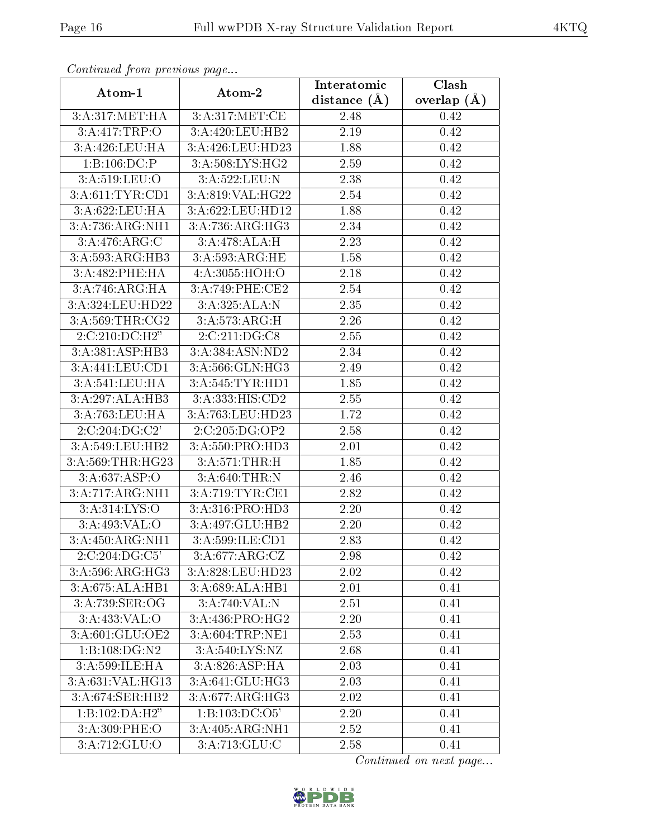| Commune from previous page        |                  | Interatomic    | Clash         |
|-----------------------------------|------------------|----------------|---------------|
| Atom-1                            | Atom-2           | distance $(A)$ | overlap $(A)$ |
| 3: A:317: MET:HA                  | 3:A:317:MET:CE   | 2.48           | 0.42          |
| 3:A:417:TRP:O                     | 3:A:420:LEU:HB2  | 2.19           | 0.42          |
| 3:A:426:LEU:HA                    | 3:A:426:LEU:HD23 | 1.88           | 0.42          |
| 1:B:106:DC:P                      | 3:A:508:LYS:HG2  | 2.59           | 0.42          |
| 3: A:519: LEU:O                   | 3:A:522:LEU:N    | 2.38           | 0.42          |
| 3:A:611:TYR:CD1                   | 3:A:819:VAL:HG22 | 2.54           | 0.42          |
| 3:A:622:LEU:HA                    | 3:A:622:LEU:HD12 | 1.88           | 0.42          |
| 3:A:736:ARG:NH1                   | 3: A:736:ARG:HG3 | 2.34           | 0.42          |
| 3:A:476:ARG:C                     | 3:A:478:ALA:H    | 2.23           | 0.42          |
| 3:A:593:ARG:HB3                   | 3:A:593:ARG:HE   | 1.58           | 0.42          |
| 3:A:482:PHE:HA                    | 4:A:3055:HOH:O   | 2.18           | 0.42          |
| 3:A:746:ARG:HA                    | 3:A:749:PHE:CE2  | 2.54           | 0.42          |
| 3:A:324:LEU:HD22                  | 3:A:325:ALA:N    | 2.35           | 0.42          |
| 3:A:569:THR:CG2                   | 3:A:573:ARG:H    | 2.26           | 0.42          |
| 2:C:210:DC:H2"                    | 2:C:211:DG:CS    | 2.55           | 0.42          |
| 3:A:381:ASP:HB3                   | 3:A:384:ASN:ND2  | 2.34           | 0.42          |
| 3:A:441:LEU:CD1                   | 3:A:566:GLN:HG3  | 2.49           | 0.42          |
| 3:A:541:LEU:HA                    | 3:A:545:TYR:HD1  | 1.85           | 0.42          |
| 3:A:297:ALA:HB3                   | 3:A:333:HIS:CD2  | 2.55           | 0.42          |
| 3:A:763:LEU:HA                    | 3:A:763:LEU:HD23 | 1.72           | 0.42          |
| 2:C:204:DG:C2'                    | 2:C:205:DG:OP2   | 2.58           | 0.42          |
| 3:A:549:LEU:HB2                   | 3:A:550:PRO:HD3  | 2.01           | 0.42          |
| 3:A:569:THR:HG23                  | 3:A:571:THR:H    | 1.85           | 0.42          |
| 3:A:637:ASP:O                     | 3: A:640:THR:N   | 2.46           | 0.42          |
| 3:A:717:ARG:NH1                   | 3:A:719:TYR:CE1  | 2.82           | 0.42          |
| $3:A:314:\overline{\text{LYS:O}}$ | 3:A:316:PRO:HD3  | 2.20           | 0.42          |
| 3:A:493:VAL:O                     | 3:A:497:GLU:HB2  | 2.20           | 0.42          |
| 3:A:450:ARG:NH1                   | 3:A:599:ILE:CD1  | 2.83           | 0.42          |
| 2:C:204:DG:C5'                    | 3:A:677:ARG:CZ   | 2.98           | 0.42          |
| 3:A:596:ARG:HG3                   | 3:A:828:LEU:HD23 | 2.02           | 0.42          |
| 3:A:675:ALA:HB1                   | 3:A:689:ALA:HB1  | 2.01           | 0.41          |
| 3:A:739:SER:OG                    | 3:A:740:VAL:N    | 2.51           | 0.41          |
| 3:A:433:VAL:O                     | 3:A:436:PRO:HG2  | 2.20           | 0.41          |
| 3:A:601:GLU:OE2                   | 3:A:604:TRP:NE1  | 2.53           | 0.41          |
| 1:B:108:DG:N2                     | 3:A:540:LYS:NZ   | 2.68           | 0.41          |
| 3:A:599:ILE:HA                    | 3:A:826:ASP:HA   | 2.03           | 0.41          |
| 3:A:631:VAL:HG13                  | 3:A:641:GLU:HG3  | 2.03           | 0.41          |
| 3:A:674:SER:HB2                   | 3:A:677:ARG:HG3  | 2.02           | 0.41          |
| 1:B:102:DA:H2"                    | 1:B:103:DC:O5'   | 2.20           | 0.41          |
| 3:A:309:PHE:O                     | 3:A:405:ARG:NH1  | 2.52           | 0.41          |
| 3:A:712:GLU:O                     | 3:A:713:GLU:C    | 2.58           | 0.41          |

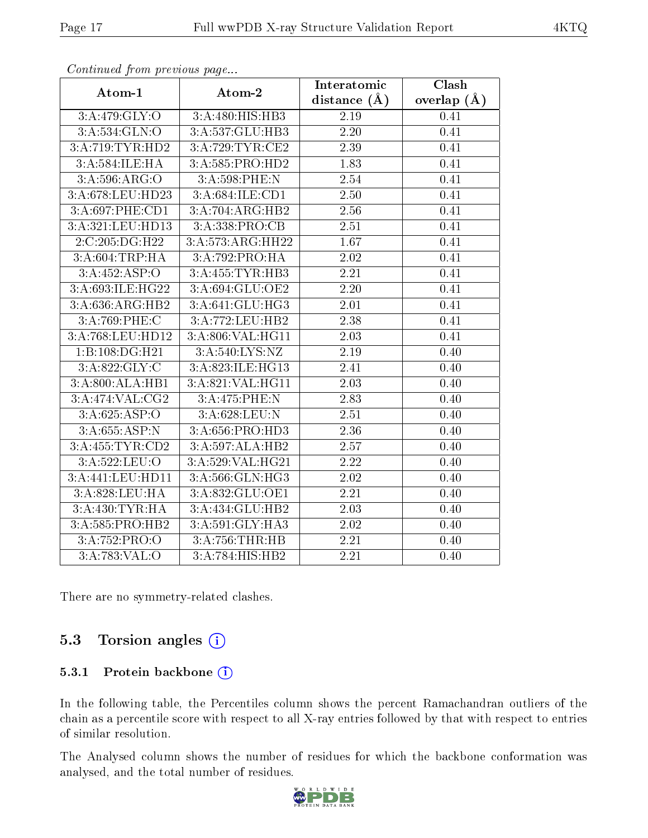| $\sum_{i=1}^{n}$                     |                         | Clash<br>Interatomic |                 |  |  |  |
|--------------------------------------|-------------------------|----------------------|-----------------|--|--|--|
| Atom-1                               | Atom-2                  | distance $(\AA)$     | overlap $(\AA)$ |  |  |  |
| 3:A:479:GLY:O                        | 3:A:480:HIS:HB3         | 2.19                 | 0.41            |  |  |  |
| 3: A: 534: GLN: O                    | 3:A:537:GLU:HB3         | $2.20\,$             | 0.41            |  |  |  |
| 3:A:719:TYR:HD2                      | 3:A:729:TYR:CE2         | 2.39                 | 0.41            |  |  |  |
| 3:A:584:ILE:HA                       | 3:A:585:PRO:HD2         | 1.83                 | 0.41            |  |  |  |
| 3:A:596:ARG:O                        | 3:A:598:PHE:N           | 2.54                 | 0.41            |  |  |  |
| 3:A:678:LEU:HD23                     | 3:A:684:ILE:CD1         | 2.50                 | 0.41            |  |  |  |
| 3:A:697:PHE:CD1                      | 3:A:704:ARG:HB2         | $\overline{2.56}$    | 0.41            |  |  |  |
| 3:A:321:LEU:HD13                     | 3:A:338:PRO:CB          | 2.51                 | 0.41            |  |  |  |
| 2:C:205:DG:H22                       | 3:A:573:ARG:HH22        | $\overline{1.67}$    | 0.41            |  |  |  |
| 3:A:604:TRP:HA                       | 3:A:792:PRO:HA          | 2.02                 | 0.41            |  |  |  |
| 3:A:452:ASP:O                        | 3:A:455:TYR:HB3<br>2.21 |                      | 0.41            |  |  |  |
| 3:A:693:ILE:HG22                     | 3:A:694:GLU:OE2         | 2.20                 | 0.41            |  |  |  |
| 3: A:636:ARG:HB2                     | 3:A:641:GLU:HG3         | $2.01\,$             | 0.41            |  |  |  |
| 3:A:769:PHE:C                        | 3:A:772:LEU:HB2         | 2.38                 | 0.41            |  |  |  |
| 3:A:768:LEU:HD12                     | 3:A:806:VAL:HG11        | 2.03                 | 0.41            |  |  |  |
| 1:B:108:DG:H21                       | 3:A:540:LYS:NZ          | 2.19                 | 0.40            |  |  |  |
| 3:A:822:GLY:C                        | 3:A:823:ILE:HG13        | 2.41                 | 0.40            |  |  |  |
| 3:A:800:ALA:HB1                      | 3:A:821:VAL:HG11        | $2.03\,$             | 0.40            |  |  |  |
| 3:A:474:VAL:CG2                      | 3:A:475:PHE:N           | 2.83                 | 0.40            |  |  |  |
| 3:A:625:ASP:O                        | 3:A:628:LEU:N           | 2.51                 | 0.40            |  |  |  |
| 3:A:655:ASP:N                        | 3:A:656:PRO:HD3         | 2.36                 | 0.40            |  |  |  |
| 3:A:455:TYR:CD2                      | 3:A:597:ALA:HB2         | 2.57                 | 0.40            |  |  |  |
| 3:A:522:LEU:O                        | 3:A:529:VAL:HG21        | 2.22                 | 0.40            |  |  |  |
| 3:A:441:LEU:HD11                     | 3:A:566: GLN: HG3       | 2.02                 | 0.40            |  |  |  |
| 3:A:828:LEU:HA                       | 3:A:832:GLU:OE1         | 2.21                 | 0.40            |  |  |  |
| 3:A:430:TYR:HA                       | 3:A:434:GLU:HB2         | 2.03                 | 0.40            |  |  |  |
| 3:A:585:PRO:HB2                      | 3:A:591:GLY:HA3         | 2.02                 | 0.40            |  |  |  |
| 3:A:752:PRO:O                        | 3:A:756:THR:HB          | 2.21                 | 0.40            |  |  |  |
| $3: A:783:\overline{\mathsf{VAL}}:O$ | 3:A:784:HIS:HB2         | $\overline{2.21}$    | 0.40            |  |  |  |

There are no symmetry-related clashes.

# 5.3 Torsion angles (i)

#### 5.3.1 Protein backbone (i)

In the following table, the Percentiles column shows the percent Ramachandran outliers of the chain as a percentile score with respect to all X-ray entries followed by that with respect to entries of similar resolution.

The Analysed column shows the number of residues for which the backbone conformation was analysed, and the total number of residues.

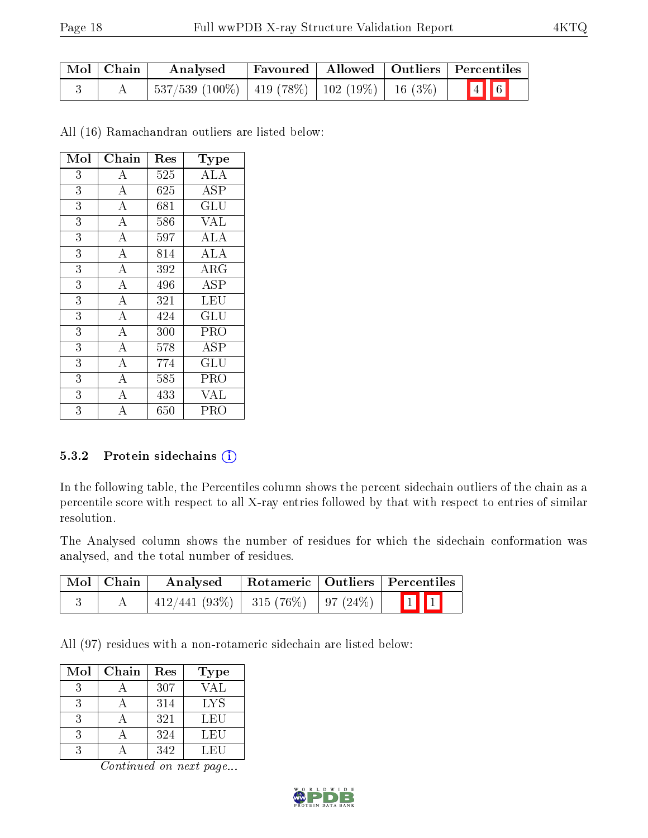| Mol   Chain | Analysed                                              |  | <b>Favoured</b>   Allowed   Outliers   Percentiles |
|-------------|-------------------------------------------------------|--|----------------------------------------------------|
|             | $^+$ 537/539 (100%)   419 (78%)   102 (19%)   16 (3%) |  | $\boxed{4}$ 6                                      |

All (16) Ramachandran outliers are listed below:

| Mol            | Chain              | Res      | Type        |
|----------------|--------------------|----------|-------------|
| 3              | $\boldsymbol{A}$   | 525      | ALA         |
| 3              | $\boldsymbol{A}$   | 625      | <b>ASP</b>  |
| $\overline{3}$ | $\overline{\rm A}$ | 681      | GLU         |
| 3              | $\bf{A}$           | 586      | <b>VAL</b>  |
| 3              | $\overline{A}$     | 597      | ALA         |
| 3              | $\overline{\rm A}$ | 814      | <b>ALA</b>  |
| 3              | $\bf{A}$           | 392      | ${\rm ARG}$ |
| $\overline{3}$ | $\overline{\rm A}$ | 496      | ASP         |
| 3              | $\overline{A}$     | 321      | LEU         |
| 3              | $\overline{\rm A}$ | 424      | GLU         |
| 3              | $\bf{A}$           | 300      | PRO         |
| 3              | $\bf{A}$           | 578      | ASP         |
| 3              | $\overline{\rm A}$ | 774      | GLU         |
| 3              | $\bf{A}$           | 585      | PRO         |
| 3              | $\overline{\rm A}$ | 433      | VAL         |
| 3              |                    | $_{650}$ | PRO         |

#### 5.3.2 Protein sidechains (i)

In the following table, the Percentiles column shows the percent sidechain outliers of the chain as a percentile score with respect to all X-ray entries followed by that with respect to entries of similar resolution.

The Analysed column shows the number of residues for which the sidechain conformation was analysed, and the total number of residues.

| Mol   Chain | Analysed                                    | $\mid$ Rotameric $\mid$ Outliers $\mid$ Percentiles |             |
|-------------|---------------------------------------------|-----------------------------------------------------|-------------|
|             | $\mid$ 412/441 (93%)   315 (76%)   97 (24%) |                                                     | $\boxed{1}$ |

All (97) residues with a non-rotameric sidechain are listed below:

| Mol | Chain | Res | Type |
|-----|-------|-----|------|
| 3   |       | 307 | VAL  |
| 3   |       | 314 | LYS  |
| 3   |       | 321 | LEU  |
| 3   |       | 324 | LEU  |
|     |       | 342 | LEU  |

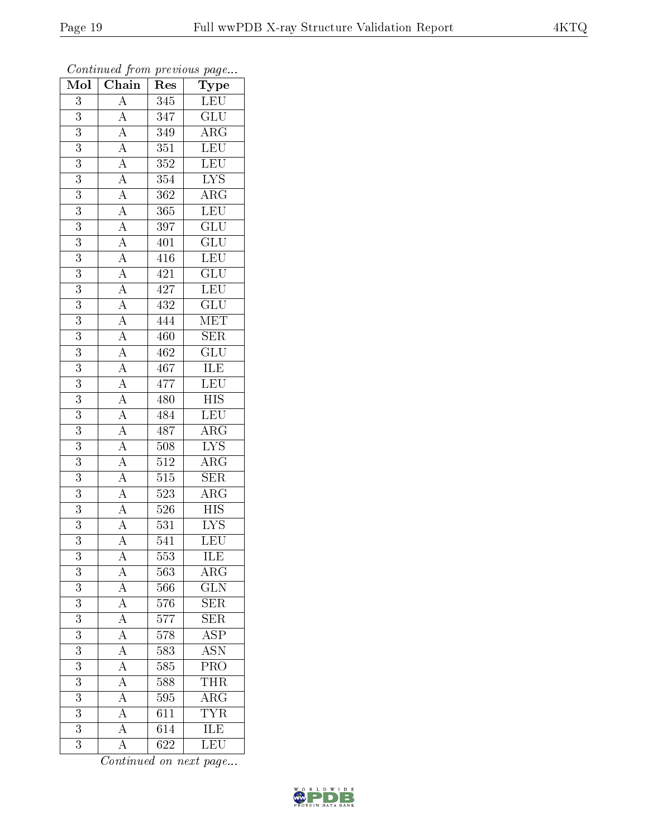| Mol              | $\overline{\text{Chain}}$                                                                                                                                                                                                                                                                                                                                                                                                                                               | Res              | ${\rm \bar{Type}}$                         |
|------------------|-------------------------------------------------------------------------------------------------------------------------------------------------------------------------------------------------------------------------------------------------------------------------------------------------------------------------------------------------------------------------------------------------------------------------------------------------------------------------|------------------|--------------------------------------------|
| 3                | $\mathbf{A}$                                                                                                                                                                                                                                                                                                                                                                                                                                                            | 345              | <b>LEU</b>                                 |
| 3                |                                                                                                                                                                                                                                                                                                                                                                                                                                                                         | $\overline{347}$ | $\overline{\text{GLU}}$                    |
| $\overline{3}$   |                                                                                                                                                                                                                                                                                                                                                                                                                                                                         | 349              | $\overline{\rm{ARG}}$                      |
| $\overline{3}$   |                                                                                                                                                                                                                                                                                                                                                                                                                                                                         | $\overline{351}$ | LEU                                        |
| $\overline{3}$   |                                                                                                                                                                                                                                                                                                                                                                                                                                                                         | $\overline{352}$ | <b>LEU</b>                                 |
| 3                |                                                                                                                                                                                                                                                                                                                                                                                                                                                                         | 354              | $\overline{\text{LYS}}$                    |
| $\overline{3}$   |                                                                                                                                                                                                                                                                                                                                                                                                                                                                         | $\overline{362}$ | $\overline{\rm{ARG}}$                      |
| $\overline{3}$   |                                                                                                                                                                                                                                                                                                                                                                                                                                                                         | $\overline{365}$ | LEU                                        |
| $\overline{3}$   |                                                                                                                                                                                                                                                                                                                                                                                                                                                                         | 397              | $\overline{\text{GLU}}$                    |
| $\overline{3}$   |                                                                                                                                                                                                                                                                                                                                                                                                                                                                         | 401              | $\overline{\text{GLU}}$                    |
| $\boldsymbol{3}$ |                                                                                                                                                                                                                                                                                                                                                                                                                                                                         | 416              | LEU                                        |
| 3                |                                                                                                                                                                                                                                                                                                                                                                                                                                                                         | 421              | $\overline{{\rm GLU}}$                     |
| $\overline{3}$   |                                                                                                                                                                                                                                                                                                                                                                                                                                                                         | 427              | LEU                                        |
| $\overline{3}$   | $\frac{\frac{1}{\mathbf{A}}\mathbf{A}}{\mathbf{A}}\frac{\mathbf{A}}{\mathbf{A}}\frac{\mathbf{A}}{\mathbf{A}}\frac{\mathbf{A}}{\mathbf{A}}\frac{\mathbf{A}}{\mathbf{A}}\frac{\mathbf{A}}{\mathbf{A}}\frac{\mathbf{A}}{\mathbf{A}}\frac{\mathbf{A}}{\mathbf{A}}\frac{\mathbf{A}}{\mathbf{A}}\frac{\mathbf{A}}{\mathbf{A}}\frac{\mathbf{A}}{\mathbf{A}}\frac{\mathbf{A}}{\mathbf{A}}\frac{\mathbf{A}}{\mathbf{A}}\frac{\mathbf{A}}{\mathbf{A}}\frac{\mathbf{A}}{\mathbf{A$ | 432              | $\overline{{\rm GLU}}$                     |
| $\overline{3}$   |                                                                                                                                                                                                                                                                                                                                                                                                                                                                         | 444              | MET                                        |
| $\overline{3}$   |                                                                                                                                                                                                                                                                                                                                                                                                                                                                         | 460              | $\overline{\text{SER}}$                    |
| $\overline{3}$   |                                                                                                                                                                                                                                                                                                                                                                                                                                                                         | 462              | $\overline{\text{GLU}}$                    |
| $\overline{3}$   |                                                                                                                                                                                                                                                                                                                                                                                                                                                                         | 467              | ILE<br>LEU                                 |
| $\overline{3}$   |                                                                                                                                                                                                                                                                                                                                                                                                                                                                         | 477              |                                            |
| $\overline{3}$   |                                                                                                                                                                                                                                                                                                                                                                                                                                                                         | 480              | $\overline{HIS}$                           |
| 3                |                                                                                                                                                                                                                                                                                                                                                                                                                                                                         | 484              | LEU                                        |
| $\overline{3}$   |                                                                                                                                                                                                                                                                                                                                                                                                                                                                         | 487              | $\overline{\rm{ARG}}$                      |
| $\overline{3}$   |                                                                                                                                                                                                                                                                                                                                                                                                                                                                         | $508\,$          | $\overline{\text{LYS}}$                    |
| $\overline{3}$   |                                                                                                                                                                                                                                                                                                                                                                                                                                                                         | $\overline{512}$ | $\overline{\rm{ARG}}$                      |
| $\overline{3}$   |                                                                                                                                                                                                                                                                                                                                                                                                                                                                         | $\overline{515}$ | $\overline{\text{SER}}$                    |
| 3                |                                                                                                                                                                                                                                                                                                                                                                                                                                                                         | 523              | $\rm{ARG}$                                 |
| $\overline{3}$   |                                                                                                                                                                                                                                                                                                                                                                                                                                                                         | $\overline{52}6$ | $\overline{\mathrm{HIS}}$                  |
| $\overline{3}$   |                                                                                                                                                                                                                                                                                                                                                                                                                                                                         | 531              | <b>LYS</b>                                 |
| $\overline{3}$   |                                                                                                                                                                                                                                                                                                                                                                                                                                                                         | $\overline{541}$ | $\overline{\text{LEU}}$                    |
| 3                | $\mathbf{A}$                                                                                                                                                                                                                                                                                                                                                                                                                                                            | 553              | <b>ILE</b>                                 |
| 3                |                                                                                                                                                                                                                                                                                                                                                                                                                                                                         | 563              | $\rm{ARG}$                                 |
| $\overline{3}$   |                                                                                                                                                                                                                                                                                                                                                                                                                                                                         | 566              | $\overline{\text{GLN}}$                    |
| 3                | $\frac{\overline{A}}{\overline{A}}$ $\frac{\overline{A}}{\overline{A}}$ $\frac{\overline{A}}{\overline{A}}$ $\frac{\overline{A}}{\overline{A}}$                                                                                                                                                                                                                                                                                                                         | $57\overline{6}$ | $\overline{\text{SER}}$                    |
| $\overline{3}$   |                                                                                                                                                                                                                                                                                                                                                                                                                                                                         | 577              | $\overline{\text{SER}}$                    |
| $\boldsymbol{3}$ |                                                                                                                                                                                                                                                                                                                                                                                                                                                                         | 578              | $\overline{\text{ASP}}$                    |
| $\overline{3}$   |                                                                                                                                                                                                                                                                                                                                                                                                                                                                         | 583              | $\overline{\mathrm{ASN}}$                  |
| $\overline{3}$   |                                                                                                                                                                                                                                                                                                                                                                                                                                                                         | 585              | $\overline{\text{PRO}}$                    |
| $\overline{3}$   |                                                                                                                                                                                                                                                                                                                                                                                                                                                                         | 588              | <b>THR</b>                                 |
| $\overline{3}$   | $\overline{A}$                                                                                                                                                                                                                                                                                                                                                                                                                                                          | 595              |                                            |
| 3                | $\overline{A}$                                                                                                                                                                                                                                                                                                                                                                                                                                                          | 611              | $\frac{\overline{\text{ARG}}}{\text{TYR}}$ |
| $\overline{3}$   | $\overline{A}$                                                                                                                                                                                                                                                                                                                                                                                                                                                          | $\overline{614}$ | <b>ILE</b>                                 |
| $\overline{3}$   | $\overline{\rm A}$                                                                                                                                                                                                                                                                                                                                                                                                                                                      | 622              | $\overline{\text{LEU}}$                    |

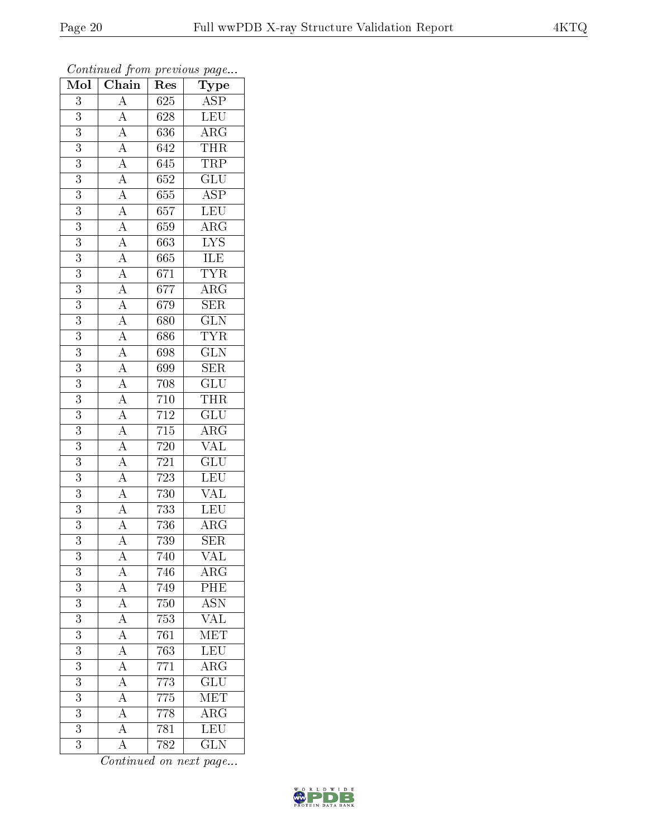| $\overline{\text{Mol}}$ | $\cdot$<br>Chain<br>Res                                                                                                                                                                                                                                                                                                                                                                                                                                                                                           |                  | $\mathbf{r}$<br>$\overline{v}$<br>$\mathrm{\overline{Type}}$ |
|-------------------------|-------------------------------------------------------------------------------------------------------------------------------------------------------------------------------------------------------------------------------------------------------------------------------------------------------------------------------------------------------------------------------------------------------------------------------------------------------------------------------------------------------------------|------------------|--------------------------------------------------------------|
| 3                       | $\overline{A}$                                                                                                                                                                                                                                                                                                                                                                                                                                                                                                    | 625              | $\frac{\overline{\text{ASP}}}{\text{LEV}}$                   |
| $\overline{3}$          |                                                                                                                                                                                                                                                                                                                                                                                                                                                                                                                   | 628              |                                                              |
| $\overline{3}$          |                                                                                                                                                                                                                                                                                                                                                                                                                                                                                                                   | 636              | $\frac{\overline{\text{ARG}}}{\text{THR}}$                   |
| 3                       |                                                                                                                                                                                                                                                                                                                                                                                                                                                                                                                   | 642              |                                                              |
| $\overline{3}$          |                                                                                                                                                                                                                                                                                                                                                                                                                                                                                                                   | $\overline{645}$ | <b>TRP</b>                                                   |
| $\overline{3}$          |                                                                                                                                                                                                                                                                                                                                                                                                                                                                                                                   | 652              | $\overline{\text{GLU}}$                                      |
| $\overline{3}$          |                                                                                                                                                                                                                                                                                                                                                                                                                                                                                                                   | $65\overline{5}$ | $\overline{\text{ASP}}$                                      |
| $\overline{3}$          |                                                                                                                                                                                                                                                                                                                                                                                                                                                                                                                   | 657              | LEU                                                          |
| $\boldsymbol{3}$        |                                                                                                                                                                                                                                                                                                                                                                                                                                                                                                                   | 659              | $\overline{\text{ARG}}$                                      |
| $\overline{3}$          |                                                                                                                                                                                                                                                                                                                                                                                                                                                                                                                   | 663              | $\overline{\text{LYS}}$                                      |
| 3                       |                                                                                                                                                                                                                                                                                                                                                                                                                                                                                                                   | $\overline{665}$ | <b>ILE</b>                                                   |
| $\overline{3}$          |                                                                                                                                                                                                                                                                                                                                                                                                                                                                                                                   | $\overline{671}$ | <b>TYR</b>                                                   |
| $\overline{3}$          |                                                                                                                                                                                                                                                                                                                                                                                                                                                                                                                   | 677              | $\overline{\text{ARG}}$                                      |
| 3                       |                                                                                                                                                                                                                                                                                                                                                                                                                                                                                                                   | $\overline{679}$ | $\overline{\text{SER}}$                                      |
| $\overline{3}$          | $\frac{\overline{A}}{\overline{A}}\frac{\overline{A}}{\overline{A}}\frac{\overline{A}}{\overline{A}}\frac{\overline{A}}{\overline{A}}\frac{\overline{A}}{\overline{A}}\frac{\overline{A}}{\overline{A}}\frac{\overline{A}}{\overline{A}}\frac{\overline{A}}{\overline{A}}\frac{\overline{A}}{\overline{A}}\frac{\overline{A}}{\overline{A}}\frac{\overline{A}}{\overline{A}}\frac{\overline{A}}{\overline{A}}\frac{\overline{A}}{\overline{A}}\frac{\overline{A}}{\overline{A}}\frac{\overline{A}}{\overline{A}}$ | 680              | $\overline{\text{GLN}}$                                      |
| $\overline{3}$          |                                                                                                                                                                                                                                                                                                                                                                                                                                                                                                                   | 686              | <b>TYR</b>                                                   |
| $\overline{3}$          |                                                                                                                                                                                                                                                                                                                                                                                                                                                                                                                   | 698              | $\overline{\text{GLN}}$                                      |
| $\overline{3}$          |                                                                                                                                                                                                                                                                                                                                                                                                                                                                                                                   | 699              | $\overline{\text{SER}}$                                      |
| $\overline{3}$          |                                                                                                                                                                                                                                                                                                                                                                                                                                                                                                                   | 708              | $\overline{\text{GLU}}$                                      |
| $\overline{3}$          |                                                                                                                                                                                                                                                                                                                                                                                                                                                                                                                   | 710              | $\frac{\overline{\text{THR}}}{\text{GLU}}$                   |
| $\overline{3}$          |                                                                                                                                                                                                                                                                                                                                                                                                                                                                                                                   | $\overline{712}$ |                                                              |
| $\overline{3}$          |                                                                                                                                                                                                                                                                                                                                                                                                                                                                                                                   | $\frac{715}{ }$  | $\overline{\rm{ARG}}$                                        |
| 3                       |                                                                                                                                                                                                                                                                                                                                                                                                                                                                                                                   | $\overline{720}$ | $\overline{\text{VAL}}$                                      |
| $\overline{3}$          |                                                                                                                                                                                                                                                                                                                                                                                                                                                                                                                   | 721              | $\overline{\text{GLU}}$                                      |
| $\overline{3}$          |                                                                                                                                                                                                                                                                                                                                                                                                                                                                                                                   | $\overline{723}$ | LEU                                                          |
| $\overline{3}$          |                                                                                                                                                                                                                                                                                                                                                                                                                                                                                                                   | 730              | $\overline{\text{VAL}}$                                      |
| $\overline{3}$          |                                                                                                                                                                                                                                                                                                                                                                                                                                                                                                                   | 733              | LEU                                                          |
| $\boldsymbol{3}$        |                                                                                                                                                                                                                                                                                                                                                                                                                                                                                                                   | 736              | $\overline{\rm{ARG}}$                                        |
| $\overline{3}$          |                                                                                                                                                                                                                                                                                                                                                                                                                                                                                                                   | $\overline{73}9$ | $\overline{\text{SER}}$                                      |
| 3                       | А                                                                                                                                                                                                                                                                                                                                                                                                                                                                                                                 | 740              | VAL                                                          |
| 3                       | $\mathbf{A}$                                                                                                                                                                                                                                                                                                                                                                                                                                                                                                      | 746              | $\rm{AR}\bar{\rm{G}}$                                        |
| $\overline{3}$          | $\frac{\overline{A}}{\overline{A}}$                                                                                                                                                                                                                                                                                                                                                                                                                                                                               | 749              | PHE                                                          |
| 3                       |                                                                                                                                                                                                                                                                                                                                                                                                                                                                                                                   | 750              | <b>ASN</b>                                                   |
| $\overline{3}$          | $\frac{1}{\mathbf{A}}$                                                                                                                                                                                                                                                                                                                                                                                                                                                                                            | 753              | $\overline{\text{VAL}}$                                      |
| 3                       | $\overline{A}$                                                                                                                                                                                                                                                                                                                                                                                                                                                                                                    | 761              | $\overline{\text{MET}}$                                      |
| $\overline{3}$          | $\frac{\overline{A}}{\overline{A}}$                                                                                                                                                                                                                                                                                                                                                                                                                                                                               | 763              | LEU                                                          |
| $\overline{\mathbf{3}}$ |                                                                                                                                                                                                                                                                                                                                                                                                                                                                                                                   | 771              | $\overline{\text{ARG}}$                                      |
| $\overline{3}$          |                                                                                                                                                                                                                                                                                                                                                                                                                                                                                                                   | 773              | $\overline{\text{GLU}}$                                      |
| $\overline{\mathbf{3}}$ | $\overline{A}$                                                                                                                                                                                                                                                                                                                                                                                                                                                                                                    | 775              | $\overline{\text{MET}}$                                      |
| $\overline{3}$          | $\overline{A}$                                                                                                                                                                                                                                                                                                                                                                                                                                                                                                    | 778              | $\overline{\rm{ARG}}$                                        |
| $\overline{3}$          | $\overline{A}$                                                                                                                                                                                                                                                                                                                                                                                                                                                                                                    | 781              | LEU                                                          |
| $\overline{3}$          | $\overline{\rm A}$                                                                                                                                                                                                                                                                                                                                                                                                                                                                                                | 782              | $\overline{\text{GLN}}$                                      |

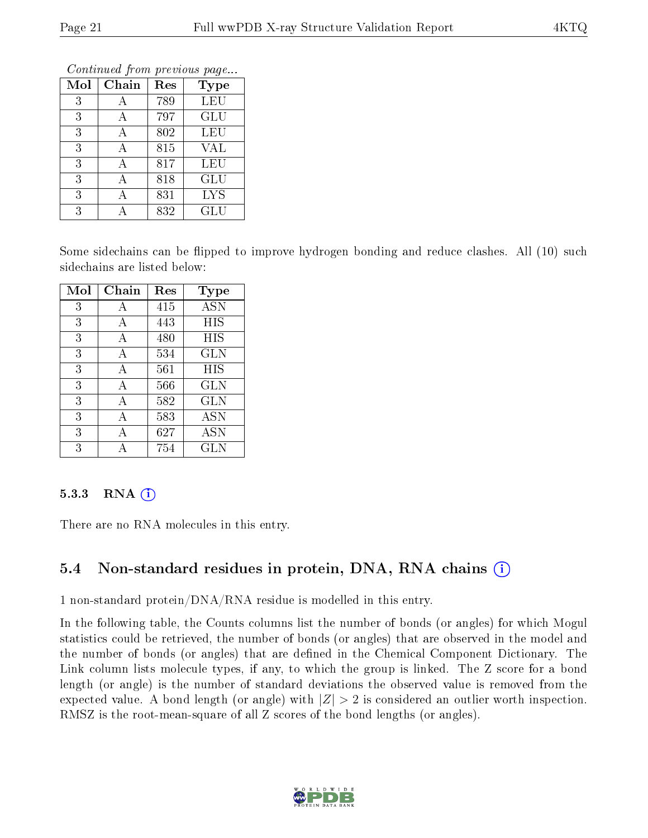| Mol | Chain | Res | Conning Trong previous page<br><b>Type</b> |
|-----|-------|-----|--------------------------------------------|
|     |       |     |                                            |
| 3   |       | 789 | <b>LEU</b>                                 |
| 3   | А     | 797 | <b>GLU</b>                                 |
| 3   | А     | 802 | LEU                                        |
| 3   | А     | 815 | <b>VAL</b>                                 |
| 3   |       | 817 | LEU                                        |
| 3   |       | 818 | <b>GLU</b>                                 |
| 3   |       | 831 | <b>LYS</b>                                 |
| 3   |       | 832 | $\operatorname{GLU}$                       |

Some sidechains can be flipped to improve hydrogen bonding and reduce clashes. All (10) such sidechains are listed below:

| Mol | Chain | Res | Type              |
|-----|-------|-----|-------------------|
| 3   | А     | 415 | $\overline{A}$ SN |
| 3   | А     | 443 | HIS               |
| 3   | А     | 480 | HIS               |
| 3   | А     | 534 | <b>GLN</b>        |
| 3   | А     | 561 | <b>HIS</b>        |
| 3   | A     | 566 | <b>GLN</b>        |
| 3   | А     | 582 | GLN               |
| 3   | А     | 583 | <b>ASN</b>        |
| 3   |       | 627 | <b>ASN</b>        |
| 3   |       | 754 | $_{\rm GLN}$      |

#### 5.3.3 RNA $(i)$

There are no RNA molecules in this entry.

## 5.4 Non-standard residues in protein, DNA, RNA chains  $(i)$

1 non-standard protein/DNA/RNA residue is modelled in this entry.

In the following table, the Counts columns list the number of bonds (or angles) for which Mogul statistics could be retrieved, the number of bonds (or angles) that are observed in the model and the number of bonds (or angles) that are defined in the Chemical Component Dictionary. The Link column lists molecule types, if any, to which the group is linked. The Z score for a bond length (or angle) is the number of standard deviations the observed value is removed from the expected value. A bond length (or angle) with  $|Z| > 2$  is considered an outlier worth inspection. RMSZ is the root-mean-square of all Z scores of the bond lengths (or angles).

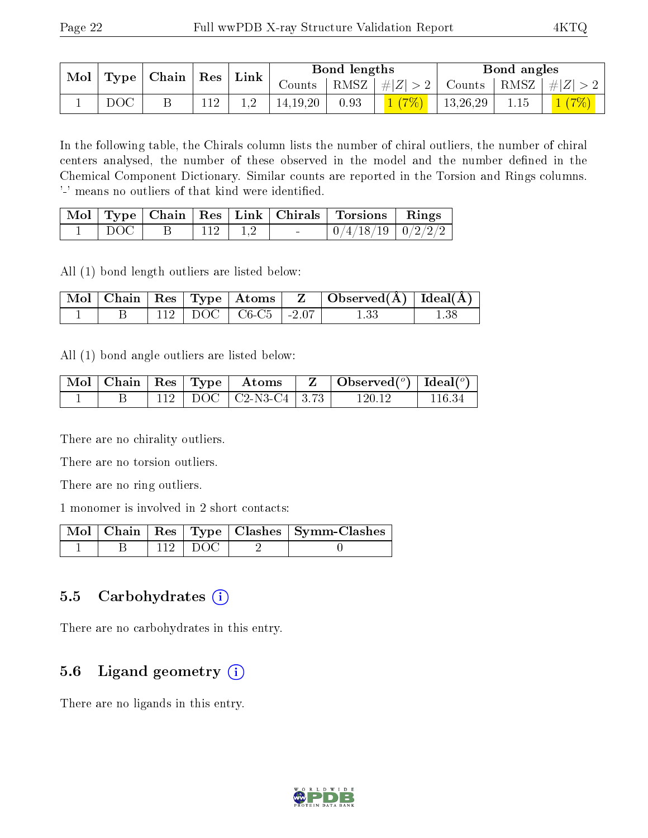| $\sim$ Mol |     | Type   Chain   Res |  | $\perp$ Link |            | Bond lengths |       |          | Bond angles                                                       |        |
|------------|-----|--------------------|--|--------------|------------|--------------|-------|----------|-------------------------------------------------------------------|--------|
|            |     |                    |  |              |            |              |       |          | Counts   RMSZ $\mid \#  Z  > 2$   Counts   RMSZ $\mid \#  Z  > 2$ |        |
|            | DOC |                    |  |              | 14, 19, 20 | 0.93         | 1(7%) | 13,26,29 | 1.15                                                              | (1(7%) |

In the following table, the Chirals column lists the number of chiral outliers, the number of chiral centers analysed, the number of these observed in the model and the number defined in the Chemical Component Dictionary. Similar counts are reported in the Torsion and Rings columns. '-' means no outliers of that kind were identified.

|       |  |        | Mol   Type   Chain   Res   Link   Chirals   Torsions   Rings |  |
|-------|--|--------|--------------------------------------------------------------|--|
| - DOC |  | $\sim$ | $\mid 0/4/18/19 \mid 0/2/2/2 \mid$                           |  |

All (1) bond length outliers are listed below:

|  |  |                                       | $\vert$ Mol $\vert$ Chain $\vert$ Res $\vert$ Type $\vert$ Atoms $\vert$ Z $\vert$ Observed(A) $\vert$ Ideal(A) $\vert$ |  |
|--|--|---------------------------------------|-------------------------------------------------------------------------------------------------------------------------|--|
|  |  | $\pm$ 112   DOC   C6-C5   -2.07 $\pm$ | 1 33                                                                                                                    |  |

All (1) bond angle outliers are listed below:

|  |  | $\mid$ Mol $\mid$ Chain $\mid$ Res $\mid$ Type $\mid$ $\mid$ Atoms $\mid$ | $\mathbf{Z}$   Observed( $^o$ )   Ideal( $^o$ ) |         |
|--|--|---------------------------------------------------------------------------|-------------------------------------------------|---------|
|  |  | 112   DOC   C2-N3-C4   3.73                                               | 120.12                                          | -116.34 |

There are no chirality outliers.

There are no torsion outliers.

There are no ring outliers.

1 monomer is involved in 2 short contacts:

|  |           | Mol   Chain   Res   Type   Clashes   Symm-Clashes ' |
|--|-----------|-----------------------------------------------------|
|  | $112$ DOC |                                                     |

## 5.5 Carbohydrates (i)

There are no carbohydrates in this entry.

# 5.6 Ligand geometry (i)

There are no ligands in this entry.

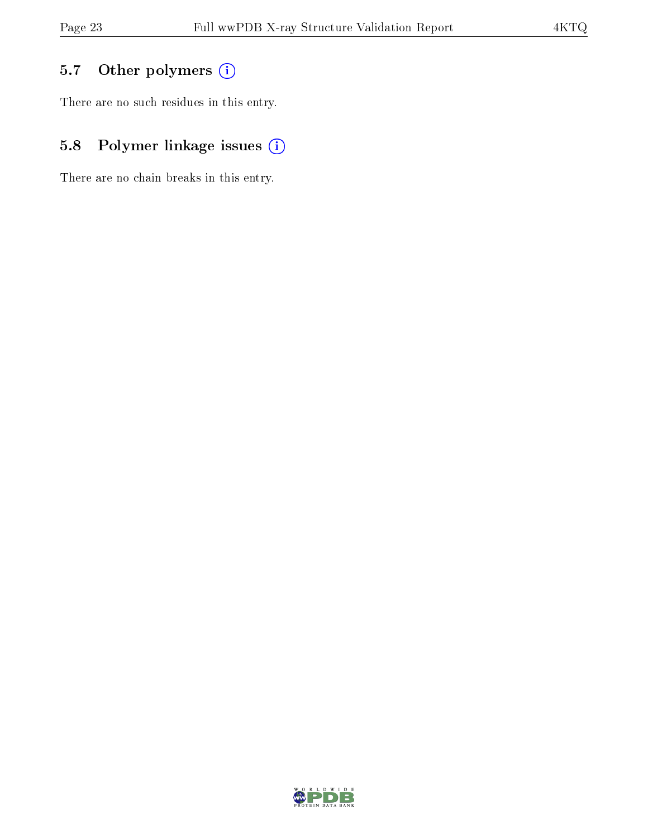# 5.7 [O](https://www.wwpdb.org/validation/2017/XrayValidationReportHelp#nonstandard_residues_and_ligands)ther polymers (i)

There are no such residues in this entry.

# 5.8 Polymer linkage issues (i)

There are no chain breaks in this entry.